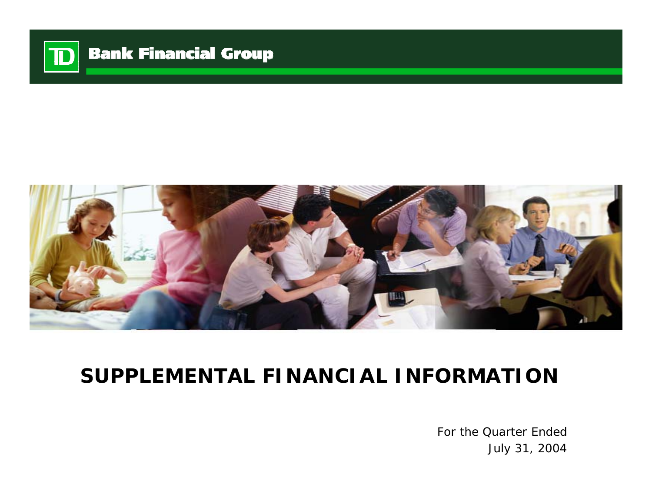

# **Bank Financial Group**



# **SUPPLEMENTAL FINANCIAL INFORMATION**

For the Quarter EndedJuly 31, 2004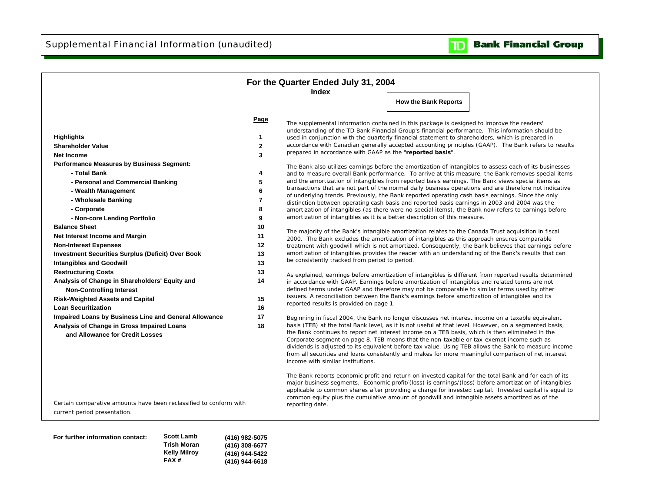

|                                                                                                                                        |                   | For the Quarter Ended July 31, 2004<br>Index                               |                                                                                                                                                                                                                                                                                                                                                                                                                                                                                                                                                                                                                              |
|----------------------------------------------------------------------------------------------------------------------------------------|-------------------|----------------------------------------------------------------------------|------------------------------------------------------------------------------------------------------------------------------------------------------------------------------------------------------------------------------------------------------------------------------------------------------------------------------------------------------------------------------------------------------------------------------------------------------------------------------------------------------------------------------------------------------------------------------------------------------------------------------|
|                                                                                                                                        |                   |                                                                            | <b>How the Bank Reports</b>                                                                                                                                                                                                                                                                                                                                                                                                                                                                                                                                                                                                  |
|                                                                                                                                        | Page              |                                                                            | The supplemental information contained in this package is designed to improve the readers'<br>understanding of the TD Bank Financial Group's financial performance. This information should be                                                                                                                                                                                                                                                                                                                                                                                                                               |
| <b>Highlights</b><br><b>Shareholder Value</b>                                                                                          | 1<br>$\mathbf{2}$ |                                                                            | used in conjunction with the quarterly financial statement to shareholders, which is prepared in<br>accordance with Canadian generally accepted accounting principles (GAAP). The Bank refers to results                                                                                                                                                                                                                                                                                                                                                                                                                     |
| <b>Net Income</b>                                                                                                                      | 3                 | prepared in accordance with GAAP as the "reported basis".                  |                                                                                                                                                                                                                                                                                                                                                                                                                                                                                                                                                                                                                              |
| <b>Performance Measures by Business Segment:</b>                                                                                       |                   |                                                                            |                                                                                                                                                                                                                                                                                                                                                                                                                                                                                                                                                                                                                              |
| - Total Bank                                                                                                                           | 4                 |                                                                            | The Bank also utilizes earnings before the amortization of intangibles to assess each of its businesses<br>and to measure overall Bank performance. To arrive at this measure, the Bank removes special items                                                                                                                                                                                                                                                                                                                                                                                                                |
| - Personal and Commercial Banking                                                                                                      | 5                 |                                                                            | and the amortization of intangibles from reported basis earnings. The Bank views special items as                                                                                                                                                                                                                                                                                                                                                                                                                                                                                                                            |
| - Wealth Management                                                                                                                    | 6                 |                                                                            | transactions that are not part of the normal daily business operations and are therefore not indicative                                                                                                                                                                                                                                                                                                                                                                                                                                                                                                                      |
| - Wholesale Banking                                                                                                                    | 7                 |                                                                            | of underlying trends. Previously, the Bank reported operating cash basis earnings. Since the only<br>distinction between operating cash basis and reported basis earnings in 2003 and 2004 was the                                                                                                                                                                                                                                                                                                                                                                                                                           |
| - Corporate                                                                                                                            | 8                 |                                                                            | amortization of intangibles (as there were no special items), the Bank now refers to earnings before                                                                                                                                                                                                                                                                                                                                                                                                                                                                                                                         |
| - Non-core Lending Portfolio                                                                                                           | 9                 | amortization of intangibles as it is a better description of this measure. |                                                                                                                                                                                                                                                                                                                                                                                                                                                                                                                                                                                                                              |
| <b>Balance Sheet</b>                                                                                                                   | 10                |                                                                            |                                                                                                                                                                                                                                                                                                                                                                                                                                                                                                                                                                                                                              |
| Net Interest Income and Margin                                                                                                         | 11                |                                                                            | The majority of the Bank's intangible amortization relates to the Canada Trust acquisition in fiscal<br>2000. The Bank excludes the amortization of intangibles as this approach ensures comparable                                                                                                                                                                                                                                                                                                                                                                                                                          |
| <b>Non-Interest Expenses</b>                                                                                                           | 12                |                                                                            | treatment with goodwill which is not amortized. Consequently, the Bank believes that earnings before                                                                                                                                                                                                                                                                                                                                                                                                                                                                                                                         |
| <b>Investment Securities Surplus (Deficit) Over Book</b>                                                                               | 13                |                                                                            | amortization of intangibles provides the reader with an understanding of the Bank's results that can                                                                                                                                                                                                                                                                                                                                                                                                                                                                                                                         |
| <b>Intangibles and Goodwill</b>                                                                                                        | 13                | be consistently tracked from period to period.                             |                                                                                                                                                                                                                                                                                                                                                                                                                                                                                                                                                                                                                              |
| <b>Restructuring Costs</b>                                                                                                             | 13                |                                                                            | As explained, earnings before amortization of intangibles is different from reported results determined                                                                                                                                                                                                                                                                                                                                                                                                                                                                                                                      |
| Analysis of Change in Shareholders' Equity and<br><b>Non-Controlling Interest</b>                                                      | 14                |                                                                            | in accordance with GAAP. Earnings before amortization of intangibles and related terms are not<br>defined terms under GAAP and therefore may not be comparable to similar terms used by other                                                                                                                                                                                                                                                                                                                                                                                                                                |
| <b>Risk-Weighted Assets and Capital</b>                                                                                                | 15                | reported results is provided on page 1.                                    | issuers. A reconciliation between the Bank's earnings before amortization of intangibles and its                                                                                                                                                                                                                                                                                                                                                                                                                                                                                                                             |
| <b>Loan Securitization</b>                                                                                                             | 16                |                                                                            |                                                                                                                                                                                                                                                                                                                                                                                                                                                                                                                                                                                                                              |
| Impaired Loans by Business Line and General Allowance<br>Analysis of Change in Gross Impaired Loans<br>and Allowance for Credit Losses | 17<br>18          | income with similar institutions.                                          | Beginning in fiscal 2004, the Bank no longer discusses net interest income on a taxable equivalent<br>basis (TEB) at the total Bank level, as it is not useful at that level. However, on a segmented basis,<br>the Bank continues to report net interest income on a TEB basis, which is then eliminated in the<br>Corporate segment on page 8. TEB means that the non-taxable or tax-exempt income such as<br>dividends is adjusted to its equivalent before tax value. Using TEB allows the Bank to measure income<br>from all securities and loans consistently and makes for more meaningful comparison of net interest |
| Certain comparative amounts have been reclassified to conform with<br>current period presentation.                                     |                   | reporting date.                                                            | The Bank reports economic profit and return on invested capital for the total Bank and for each of its<br>major business segments. Economic profit/(loss) is earnings/(loss) before amortization of intangibles<br>applicable to common shares after providing a charge for invested capital. Invested capital is equal to<br>common equity plus the cumulative amount of goodwill and intangible assets amortized as of the                                                                                                                                                                                                 |

| For further information contact: | <b>Scott Lamb</b>   | (416) 982-5075 |
|----------------------------------|---------------------|----------------|
|                                  | Trish Moran         | (416) 308-6677 |
|                                  | <b>Kelly Milroy</b> | (416) 944-5422 |
|                                  | FAX#                | (416) 944-6618 |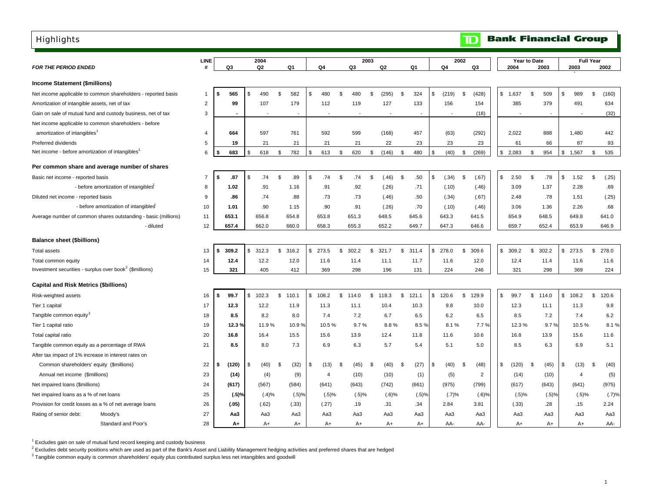## <span id="page-2-0"></span>Highlights

|                                                                     |                                                                | LINE           |             |     | 2004           |                          |     |       |      |          | 2003 |          |      |                          | 2002           |             |          | Year to Date |                |                |                |                | <b>Full Year</b> |       |
|---------------------------------------------------------------------|----------------------------------------------------------------|----------------|-------------|-----|----------------|--------------------------|-----|-------|------|----------|------|----------|------|--------------------------|----------------|-------------|----------|--------------|----------------|----------------|----------------|----------------|------------------|-------|
| <b>FOR THE PERIOD ENDED</b>                                         |                                                                | #              | Q3          |     | Q <sub>2</sub> | Q1                       |     | Q4    |      | Q3       |      | Q2       |      | Q1                       | Q <sub>4</sub> | Q3          |          | 2004         |                | 2003           |                | 2003           |                  | 2002  |
| Income Statement (\$millions)                                       |                                                                |                |             |     |                |                          |     |       |      |          |      |          |      |                          |                |             |          |              |                |                |                |                |                  |       |
|                                                                     | Net income applicable to common shareholders - reported basis  | 1              | 565<br>\$   | S   | 490            | \$<br>582                | \$  | 480   | \$   | 480      | \$   | (295)    | \$   | 324                      | \$<br>(219)    | \$          | (428)    | \$<br>1,637  | \$             | 509            | \$             | 989            | \$               | (160) |
| Amortization of intangible assets, net of tax                       |                                                                | $\overline{c}$ | 99          |     | 107            | 179                      |     | 112   |      | 119      |      | 127      |      | 133                      | 156            |             | 154      | 385          |                | 379            |                | 491            |                  | 634   |
|                                                                     | Gain on sale of mutual fund and custody business, net of tax   | 3              |             |     |                | $\overline{\phantom{a}}$ |     |       |      |          |      |          |      | $\overline{\phantom{a}}$ |                |             | (18)     |              |                | $\overline{a}$ |                |                |                  | (32)  |
|                                                                     | Net income applicable to common shareholders - before          |                |             |     |                |                          |     |       |      |          |      |          |      |                          |                |             |          |              |                |                |                |                |                  |       |
| amortization of intangibles                                         |                                                                | 4              | 664         |     | 597            | 761                      |     | 592   |      | 599      |      | (168)    |      | 457                      | (63)           |             | (292)    | 2,022        |                | 888            |                | 1,480          |                  | 442   |
| Preferred dividends                                                 |                                                                | 5              | 19          |     | 21             | 21                       |     | 21    |      | 21       |      | 22       |      | 23                       | 23             |             | 23       | 61           |                | 66             |                | 87             |                  | 93    |
| Net income - before amortization of intangibles <sup>1</sup>        |                                                                | 6              | 683<br>\$   | \$  | 618            | \$<br>782                | \$  | 613   | \$   | 620      | \$   | (146)    | \$   | 480                      | \$<br>(40)     | \$          | (269)    | \$2,083      | \$             | 954            | \$             | 1,567          | \$               | 535   |
|                                                                     | Per common share and average number of shares                  |                |             |     |                |                          |     |       |      |          |      |          |      |                          |                |             |          |              |                |                |                |                |                  |       |
| Basic net income - reported basis                                   |                                                                | $\overline{7}$ | .87<br>\$   | \$  | .74            | \$<br>.89                | \$  | .74   | \$   | .74      | \$   | (.46)    | \$   | .50                      | \$<br>(.34)    | \$          | (.67)    | \$<br>2.50   | <b>S</b>       | .78            | \$             | 1.52           | \$               | (.25) |
|                                                                     | - before amortization of intangibles                           | 8              | 1.02        |     | .91            | 1.16                     |     | .91   |      | .92      |      | (.26)    |      | .71                      | (.10)          |             | (.46)    | 3.09         |                | 1.37           |                | 2.28           |                  | .69   |
| Diluted net income - reported basis                                 |                                                                | 9              | .86         |     | .74            | .88                      |     | .73   |      | .73      |      | (.46)    |      | .50                      | (.34)          |             | (.67)    | 2.48         |                | .78            |                | 1.51           |                  | (.25) |
|                                                                     | - before amortization of intangibles                           | 10             | 1.01        |     | .90            | 1.15                     |     | .90   |      | .91      |      | (.26)    |      | .70                      | (.10)          |             | (.46)    | 3.06         |                | 1.36           |                | 2.26           |                  | .68   |
|                                                                     | Average number of common shares outstanding - basic (millions) | 11             | 653.1       |     | 656.8          | 654.8                    |     | 653.8 |      | 651.3    |      | 648.5    |      | 645.6                    | 643.3          | 641.5       |          | 654.9        |                | 648.5          |                | 649.8          |                  | 641.0 |
|                                                                     | - diluted                                                      | 12             | 657.4       |     | 662.0          | 660.0                    |     | 658.3 |      | 655.3    |      | 652.2    |      | 649.7                    | 647.3          | 646.6       |          | 659.7        |                | 652.4          |                | 653.9          |                  | 646.9 |
| <b>Balance sheet (\$billions)</b>                                   |                                                                |                |             |     |                |                          |     |       |      |          |      |          |      |                          |                |             |          |              |                |                |                |                |                  |       |
| <b>Total assets</b>                                                 |                                                                | 13             | 309.2<br>\$ | \$  | 312.3          | \$<br>316.2              | \$. | 273.5 | \$   | 302.2    | \$   | 321.7    | \$   | 311.4                    | \$<br>278.0    | \$<br>309.6 |          | \$<br>309.2  | $\mathfrak{L}$ | 302.2          | $\mathfrak{s}$ | 273.5          | \$               | 278.0 |
| Total common equity                                                 |                                                                | 14             | 12.4        |     | 12.2           | 12.0                     |     | 11.6  |      | 11.4     |      | 11.1     |      | 11.7                     | 11.6           |             | 12.0     | 12.4         |                | 11.4           |                | 11.6           |                  | 11.6  |
| Investment securities - surplus over book <sup>2</sup> (\$millions) |                                                                | 15             | 321         |     | 405            | 412                      |     | 369   |      | 298      |      | 196      |      | 131                      | 224            |             | 246      | 321          |                | 298            |                | 369            |                  | 224   |
| <b>Capital and Risk Metrics (\$billions)</b>                        |                                                                |                |             |     |                |                          |     |       |      |          |      |          |      |                          |                |             |          |              |                |                |                |                |                  |       |
| Risk-weighted assets                                                |                                                                | 16             | 99.7<br>\$  | \$  | 102.3          | \$<br>110.1              | \$  | 108.2 | \$   | 114.0    | S.   | 118.3    | \$   | 121.1                    | \$<br>120.6    | \$<br>129.9 |          | 99.7         | \$             | 114.0          | \$             | 108.2          | \$               | 120.6 |
| Tier 1 capital                                                      |                                                                | 17             | 12.3        |     | 12.2           | 11.9                     |     | 11.3  |      | 11.1     |      | 10.4     |      | 10.3                     | 9.8            |             | 10.0     | 12.3         |                | 11.1           |                | 11.3           |                  | 9.8   |
| Tangible common equity <sup>3</sup>                                 |                                                                | 18             | 8.5         |     | 8.2            | 8.0                      |     | 7.4   |      | 7.2      |      | 6.7      |      | 6.5                      | 6.2            |             | 6.5      | 8.5          |                | 7.2            |                | 7.4            |                  | 6.2   |
| Tier 1 capital ratio                                                |                                                                | 19             | 12.3%       |     | 11.9%          | 10.9%                    |     | 10.5% |      | 9.7%     |      | 8.8%     |      | 8.5 %                    | 8.1%           |             | 7.7%     | 12.3%        |                | 9.7%           |                | 10.5%          |                  | 8.1%  |
| Total capital ratio                                                 |                                                                | 20             | 16.8        |     | 16.4           | 15.5                     |     | 15.6  |      | 13.9     |      | 12.4     |      | 11.8                     | 11.6           |             | 10.6     | 16.8         |                | 13.9           |                | 15.6           |                  | 11.6  |
| Tangible common equity as a percentage of RWA                       |                                                                | 21             | 8.5         |     | 8.0            | 7.3                      |     | 6.9   |      | 6.3      |      | 5.7      |      | 5.4                      | 5.1            |             | 5.0      | 8.5          |                | 6.3            |                | 6.9            |                  | 5.1   |
| After tax impact of 1% increase in interest rates on                |                                                                |                |             |     |                |                          |     |       |      |          |      |          |      |                          |                |             |          |              |                |                |                |                |                  |       |
| Common shareholders' equity (\$millions)                            |                                                                | 22             | (120)       | \$. | (40)           | \$<br>(32)               | \$  | (13)  | - \$ | (45)     | - \$ | (40)     | - \$ | (27)                     | \$<br>(40)     | \$          | (48)     | \$<br>(120)  | \$             | (45)           | \$             | (13)           | \$               | (40)  |
| Annual net income (\$millions)                                      |                                                                | 23             | (14)        |     | (4)            | (9)                      |     | 4     |      | (10)     |      | (10)     |      | (1)                      | (5)            |             | 2        | (14)         |                | (10)           |                | $\overline{4}$ |                  | (5)   |
| Net impaired loans (\$millions)                                     |                                                                | 24             | (617)       |     | (567)          | (584)                    |     | (641) |      | (643)    |      | (742)    |      | (661)                    | (975)          |             | (799)    | (617)        |                | (643)          |                | (641)          |                  | (975) |
| Net impaired loans as a % of net loans                              |                                                                | 25             | $(.5)$ %    |     | (.4)%          | (.5)%                    |     | (.5)% |      | $(.5)$ % |      | $(.6)$ % |      | (.5)%                    | (.7)%          |             | $(.6)$ % | (.5)%        |                | (.5)%          |                | (.5)%          |                  | (.7)% |
| Provision for credit losses as a % of net average loans             |                                                                | 26             | (.05)       |     | (.62)          | (.33)                    |     | (.27) |      | .19      |      | .31      |      | .34                      | 2.84           | 3.81        |          | (.33)        |                | .28            |                | .15            |                  | 2.24  |
| Rating of senior debt:                                              | Moody's                                                        | 27             | Aa3         |     | Aa3            | Aa3                      |     | Aa3   |      | Aa3      |      | Aa3      |      | АаЗ                      | Aa3            |             | Aa3      | Aa3          |                | АаЗ            |                | Aa3            |                  | Aa3   |
|                                                                     | Standard and Poor's                                            | 28             | A+          |     | A+             | $A+$                     |     | $A+$  |      | $A+$     |      | $A+$     |      | A+                       | AA-            |             | AA-      | $A+$         |                | A+             |                | A+             |                  | AA-   |

 $1$  Excludes gain on sale of mutual fund record keeping and custody business

<sup>2</sup> Excludes debt security positions which are used as part of the Bank's Asset and Liability Management hedging activities and preferred shares that are hedged

 $3$  Tangible common equity is common shareholders' equity plus contributed surplus less net intangibles and goodwill

## **TD** Bank Financial Group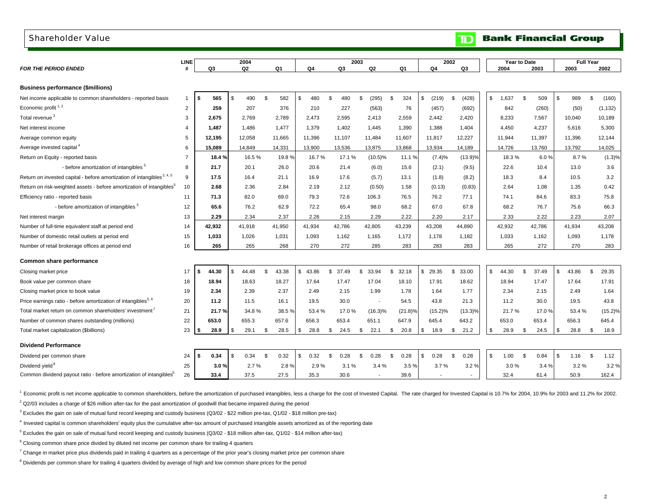#### <span id="page-3-0"></span>Shareholder Value

| Q3<br>Q2<br>Q1<br>Q4<br>Q3<br>Q2<br>Q <sub>4</sub><br>Q3<br>2003<br>Q1<br>2004<br>2003<br>2002<br>\$.<br>\$<br>\$<br>(428)<br>\$<br>Ŝ.<br>\$<br>\$<br>(160)<br>565<br>490<br>. ጽ<br>582<br>480<br>. ፍ<br>480<br>\$.<br>(295)<br><b>β</b><br>324<br>(219)<br>\$<br>1,637<br>509<br>989<br>$\mathbf{1}$<br>2<br>259<br>207<br>376<br>210<br>227<br>(563)<br>76<br>(457)<br>(692)<br>842<br>(260)<br>(50)<br>(1, 132)<br>3<br>2,769<br>2,789<br>2,473<br>2,595<br>2,413<br>2,559<br>2,442<br>2,420<br>8,233<br>10,189<br>2,675<br>7,567<br>10,040<br>1,487<br>1,477<br>1,379<br>1,402<br>1,445<br>1,390<br>1,388<br>1,404<br>4,450<br>4,237<br>5,616<br>5,300<br>1,486<br>$\overline{4}$<br>12,195<br>12,058<br>11,665<br>11,396<br>11,107<br>11,484<br>11,607<br>11.817<br>12,227<br>11,944<br>11,397<br>11.396<br>12,144<br>5<br>13,536<br>13,875<br>13,934<br>14,025<br>6<br>15,089<br>14,849<br>14,331<br>13,900<br>13,868<br>14,189<br>14,726<br>13,760<br>13,792<br>(1.3)%<br>16.5%<br>16.7%<br>17.1%<br>$(10.5)\%$<br>(7.4)%<br>$(13.9)\%$<br>18.3%<br>8.7%<br>$\overline{7}$<br>18.4 %<br>19.8%<br>11.1%<br>6.0%<br>- before amortization of intangibles <sup>5</sup><br>(9.5)<br>3.6<br>8<br>21.7<br>20.1<br>26.0<br>20.6<br>21.4<br>(6.0)<br>15.6<br>(2.1)<br>22.6<br>10.4<br>13.0<br>(5.7)<br>3.2<br>9<br>17.5<br>16.4<br>21.1<br>16.9<br>17.6<br>13.1<br>(1.8)<br>(8.2)<br>18.3<br>8.4<br>10.5<br>2.12<br>2.64<br>0.42<br>10<br>2.68<br>2.36<br>2.84<br>2.19<br>(0.50)<br>1.58<br>(0.13)<br>(0.83)<br>1.08<br>1.35<br>82.0<br>72.6<br>106.3<br>76.2<br>83.3<br>75.8<br>71.3<br>69.0<br>79.3<br>76.5<br>77.1<br>74.1<br>84.6<br>11<br>- before amortization of intangibles 3<br>65.4<br>66.3<br>12<br>65.6<br>76.2<br>62.9<br>72.2<br>98.0<br>68.2<br>67.0<br>67.8<br>68.2<br>76.7<br>75.6<br>2.29<br>2.22<br>2.20<br>2.22<br>2.23<br>13<br>2.29<br>2.34<br>2.37<br>2.26<br>2.15<br>2.33<br>2.07<br>2.17<br>42,932<br>41,918<br>41,950<br>41,934<br>42,786<br>42,805<br>43,239<br>43,208<br>44,890<br>42,932<br>42,786<br>41,934<br>43,208<br>14<br>1,033<br>1,026<br>1,031<br>1,093<br>1,162<br>1,165<br>1,172<br>1,178<br>1,182<br>1,033<br>1,093<br>1,178<br>15<br>1,162<br>16<br>265<br>265<br>268<br>270<br>272<br>285<br>283<br>283<br>283<br>265<br>272<br>270<br>283<br>17<br>44.30<br>44.48<br>\$<br>43.38<br>\$43.86<br>\$<br>37.49<br>33.94<br>32.18<br>\$29.35<br>\$<br>33.00<br>\$<br>44.30<br>Ŝ.<br>37.49<br>\$<br>43.86<br>\$<br>29.35<br>\$.<br>\$<br>\$.<br>\$<br>18.94<br>17.04<br>18.62<br>17.91<br>18<br>18.63<br>18.27<br>17.64<br>17.47<br>18.10<br>17.91<br>18.94<br>17.64<br>17.47<br>2.39<br>2.37<br>2.15<br>1.99<br>1.78<br>1.77<br>1.64<br>19<br>2.34<br>2.49<br>1.64<br>2.34<br>2.15<br>2.49<br>30.0<br>43.8<br>20<br>11.5<br>16.1<br>19.5<br>54.5<br>43.8<br>21.3<br>11.2<br>30.0<br>19.5<br>11.2<br>$\sim$<br>$(15.2)\%$<br>21<br>34.8%<br>38.5%<br>$(15.2)\%$<br>$(13.3)\%$<br>21.7%<br>21.7%<br>53.4 %<br>17.0%<br>$(16.3)\%$<br>(21.8)%<br>17.0%<br>53.4 %<br>22<br>656.3<br>647.9<br>653.0<br>655.3<br>657.6<br>653.4<br>645.4<br>643.2<br>653.0<br>653.4<br>656.3<br>645.4<br>651.1<br>23<br>28.9<br>28.5<br>24.5<br>\$<br>22.1<br>20.8<br>21.2<br>28.9<br>28.8<br>\$<br>18.9<br>\$<br>29.1<br>\$<br>\$<br>28.8<br>\$<br>\$<br>\$<br>18.9<br>\$<br>\$<br>\$<br>24.5<br>\$<br>0.32<br>0.28<br>0.28<br>\$<br>0.28<br>\$<br>0.28<br>\$<br><b>S</b><br>0.84<br>\$<br>\$<br>0.34<br>\$<br>0.32<br>\$<br>$\mathcal{S}$<br>0.28<br>\$<br>$\mathbf{\hat{z}}$<br>1.00<br>\$<br>1.16<br>1.12<br>24<br>0.34<br>3.2%<br>3.7%<br>25<br>2.7%<br>2.9%<br>3.1%<br>3.4%<br>3.5%<br>3.2%<br>3.0%<br>3.2%<br>3.0%<br>2.8%<br>3.4%<br>26<br>37.5<br>27.5<br>33.4<br>35.3<br>30.6<br>39.6<br>32.4<br>50.9<br>162.4<br>61.4<br>$\blacksquare$<br>$\sim$<br>$\overline{\phantom{a}}$ |                                                                                    | LINE |  | 2004 |  |  | 2003 |  |  | 2002 |  | Year to Date |  | <b>Full Year</b> |  |
|----------------------------------------------------------------------------------------------------------------------------------------------------------------------------------------------------------------------------------------------------------------------------------------------------------------------------------------------------------------------------------------------------------------------------------------------------------------------------------------------------------------------------------------------------------------------------------------------------------------------------------------------------------------------------------------------------------------------------------------------------------------------------------------------------------------------------------------------------------------------------------------------------------------------------------------------------------------------------------------------------------------------------------------------------------------------------------------------------------------------------------------------------------------------------------------------------------------------------------------------------------------------------------------------------------------------------------------------------------------------------------------------------------------------------------------------------------------------------------------------------------------------------------------------------------------------------------------------------------------------------------------------------------------------------------------------------------------------------------------------------------------------------------------------------------------------------------------------------------------------------------------------------------------------------------------------------------------------------------------------------------------------------------------------------------------------------------------------------------------------------------------------------------------------------------------------------------------------------------------------------------------------------------------------------------------------------------------------------------------------------------------------------------------------------------------------------------------------------------------------------------------------------------------------------------------------------------------------------------------------------------------------------------------------------------------------------------------------------------------------------------------------------------------------------------------------------------------------------------------------------------------------------------------------------------------------------------------------------------------------------------------------------------------------------------------------------------------------------------------------------------------------------------------------------------------------------------------------------------------------------------------------------------------------------------------------------------------------------------------------------------------------------------------------------------------------------------------------------------------------------------------------------------------------------------------------------------------------------------------------------------------------------------------------------------------------------------------------------------------------------------------------------------------------------------|------------------------------------------------------------------------------------|------|--|------|--|--|------|--|--|------|--|--------------|--|------------------|--|
|                                                                                                                                                                                                                                                                                                                                                                                                                                                                                                                                                                                                                                                                                                                                                                                                                                                                                                                                                                                                                                                                                                                                                                                                                                                                                                                                                                                                                                                                                                                                                                                                                                                                                                                                                                                                                                                                                                                                                                                                                                                                                                                                                                                                                                                                                                                                                                                                                                                                                                                                                                                                                                                                                                                                                                                                                                                                                                                                                                                                                                                                                                                                                                                                                                                                                                                                                                                                                                                                                                                                                                                                                                                                                                                                                                                                          | <b>FOR THE PERIOD ENDED</b>                                                        |      |  |      |  |  |      |  |  |      |  |              |  |                  |  |
|                                                                                                                                                                                                                                                                                                                                                                                                                                                                                                                                                                                                                                                                                                                                                                                                                                                                                                                                                                                                                                                                                                                                                                                                                                                                                                                                                                                                                                                                                                                                                                                                                                                                                                                                                                                                                                                                                                                                                                                                                                                                                                                                                                                                                                                                                                                                                                                                                                                                                                                                                                                                                                                                                                                                                                                                                                                                                                                                                                                                                                                                                                                                                                                                                                                                                                                                                                                                                                                                                                                                                                                                                                                                                                                                                                                                          | <b>Business performance (\$millions)</b>                                           |      |  |      |  |  |      |  |  |      |  |              |  |                  |  |
|                                                                                                                                                                                                                                                                                                                                                                                                                                                                                                                                                                                                                                                                                                                                                                                                                                                                                                                                                                                                                                                                                                                                                                                                                                                                                                                                                                                                                                                                                                                                                                                                                                                                                                                                                                                                                                                                                                                                                                                                                                                                                                                                                                                                                                                                                                                                                                                                                                                                                                                                                                                                                                                                                                                                                                                                                                                                                                                                                                                                                                                                                                                                                                                                                                                                                                                                                                                                                                                                                                                                                                                                                                                                                                                                                                                                          | Net income applicable to common shareholders - reported basis                      |      |  |      |  |  |      |  |  |      |  |              |  |                  |  |
|                                                                                                                                                                                                                                                                                                                                                                                                                                                                                                                                                                                                                                                                                                                                                                                                                                                                                                                                                                                                                                                                                                                                                                                                                                                                                                                                                                                                                                                                                                                                                                                                                                                                                                                                                                                                                                                                                                                                                                                                                                                                                                                                                                                                                                                                                                                                                                                                                                                                                                                                                                                                                                                                                                                                                                                                                                                                                                                                                                                                                                                                                                                                                                                                                                                                                                                                                                                                                                                                                                                                                                                                                                                                                                                                                                                                          | Economic profit $1, 2$                                                             |      |  |      |  |  |      |  |  |      |  |              |  |                  |  |
|                                                                                                                                                                                                                                                                                                                                                                                                                                                                                                                                                                                                                                                                                                                                                                                                                                                                                                                                                                                                                                                                                                                                                                                                                                                                                                                                                                                                                                                                                                                                                                                                                                                                                                                                                                                                                                                                                                                                                                                                                                                                                                                                                                                                                                                                                                                                                                                                                                                                                                                                                                                                                                                                                                                                                                                                                                                                                                                                                                                                                                                                                                                                                                                                                                                                                                                                                                                                                                                                                                                                                                                                                                                                                                                                                                                                          | Total revenue <sup>3</sup>                                                         |      |  |      |  |  |      |  |  |      |  |              |  |                  |  |
|                                                                                                                                                                                                                                                                                                                                                                                                                                                                                                                                                                                                                                                                                                                                                                                                                                                                                                                                                                                                                                                                                                                                                                                                                                                                                                                                                                                                                                                                                                                                                                                                                                                                                                                                                                                                                                                                                                                                                                                                                                                                                                                                                                                                                                                                                                                                                                                                                                                                                                                                                                                                                                                                                                                                                                                                                                                                                                                                                                                                                                                                                                                                                                                                                                                                                                                                                                                                                                                                                                                                                                                                                                                                                                                                                                                                          | Net interest income                                                                |      |  |      |  |  |      |  |  |      |  |              |  |                  |  |
|                                                                                                                                                                                                                                                                                                                                                                                                                                                                                                                                                                                                                                                                                                                                                                                                                                                                                                                                                                                                                                                                                                                                                                                                                                                                                                                                                                                                                                                                                                                                                                                                                                                                                                                                                                                                                                                                                                                                                                                                                                                                                                                                                                                                                                                                                                                                                                                                                                                                                                                                                                                                                                                                                                                                                                                                                                                                                                                                                                                                                                                                                                                                                                                                                                                                                                                                                                                                                                                                                                                                                                                                                                                                                                                                                                                                          | Average common equity                                                              |      |  |      |  |  |      |  |  |      |  |              |  |                  |  |
|                                                                                                                                                                                                                                                                                                                                                                                                                                                                                                                                                                                                                                                                                                                                                                                                                                                                                                                                                                                                                                                                                                                                                                                                                                                                                                                                                                                                                                                                                                                                                                                                                                                                                                                                                                                                                                                                                                                                                                                                                                                                                                                                                                                                                                                                                                                                                                                                                                                                                                                                                                                                                                                                                                                                                                                                                                                                                                                                                                                                                                                                                                                                                                                                                                                                                                                                                                                                                                                                                                                                                                                                                                                                                                                                                                                                          | Average invested capital <sup>4</sup>                                              |      |  |      |  |  |      |  |  |      |  |              |  |                  |  |
|                                                                                                                                                                                                                                                                                                                                                                                                                                                                                                                                                                                                                                                                                                                                                                                                                                                                                                                                                                                                                                                                                                                                                                                                                                                                                                                                                                                                                                                                                                                                                                                                                                                                                                                                                                                                                                                                                                                                                                                                                                                                                                                                                                                                                                                                                                                                                                                                                                                                                                                                                                                                                                                                                                                                                                                                                                                                                                                                                                                                                                                                                                                                                                                                                                                                                                                                                                                                                                                                                                                                                                                                                                                                                                                                                                                                          | Return on Equity - reported basis                                                  |      |  |      |  |  |      |  |  |      |  |              |  |                  |  |
|                                                                                                                                                                                                                                                                                                                                                                                                                                                                                                                                                                                                                                                                                                                                                                                                                                                                                                                                                                                                                                                                                                                                                                                                                                                                                                                                                                                                                                                                                                                                                                                                                                                                                                                                                                                                                                                                                                                                                                                                                                                                                                                                                                                                                                                                                                                                                                                                                                                                                                                                                                                                                                                                                                                                                                                                                                                                                                                                                                                                                                                                                                                                                                                                                                                                                                                                                                                                                                                                                                                                                                                                                                                                                                                                                                                                          |                                                                                    |      |  |      |  |  |      |  |  |      |  |              |  |                  |  |
|                                                                                                                                                                                                                                                                                                                                                                                                                                                                                                                                                                                                                                                                                                                                                                                                                                                                                                                                                                                                                                                                                                                                                                                                                                                                                                                                                                                                                                                                                                                                                                                                                                                                                                                                                                                                                                                                                                                                                                                                                                                                                                                                                                                                                                                                                                                                                                                                                                                                                                                                                                                                                                                                                                                                                                                                                                                                                                                                                                                                                                                                                                                                                                                                                                                                                                                                                                                                                                                                                                                                                                                                                                                                                                                                                                                                          | Return on invested capital - before amortization of intangibles <sup>2, 4, 5</sup> |      |  |      |  |  |      |  |  |      |  |              |  |                  |  |
|                                                                                                                                                                                                                                                                                                                                                                                                                                                                                                                                                                                                                                                                                                                                                                                                                                                                                                                                                                                                                                                                                                                                                                                                                                                                                                                                                                                                                                                                                                                                                                                                                                                                                                                                                                                                                                                                                                                                                                                                                                                                                                                                                                                                                                                                                                                                                                                                                                                                                                                                                                                                                                                                                                                                                                                                                                                                                                                                                                                                                                                                                                                                                                                                                                                                                                                                                                                                                                                                                                                                                                                                                                                                                                                                                                                                          | Return on risk-weighted assets - before amortization of intangibles <sup>5</sup>   |      |  |      |  |  |      |  |  |      |  |              |  |                  |  |
|                                                                                                                                                                                                                                                                                                                                                                                                                                                                                                                                                                                                                                                                                                                                                                                                                                                                                                                                                                                                                                                                                                                                                                                                                                                                                                                                                                                                                                                                                                                                                                                                                                                                                                                                                                                                                                                                                                                                                                                                                                                                                                                                                                                                                                                                                                                                                                                                                                                                                                                                                                                                                                                                                                                                                                                                                                                                                                                                                                                                                                                                                                                                                                                                                                                                                                                                                                                                                                                                                                                                                                                                                                                                                                                                                                                                          | Efficiency ratio - reported basis                                                  |      |  |      |  |  |      |  |  |      |  |              |  |                  |  |
|                                                                                                                                                                                                                                                                                                                                                                                                                                                                                                                                                                                                                                                                                                                                                                                                                                                                                                                                                                                                                                                                                                                                                                                                                                                                                                                                                                                                                                                                                                                                                                                                                                                                                                                                                                                                                                                                                                                                                                                                                                                                                                                                                                                                                                                                                                                                                                                                                                                                                                                                                                                                                                                                                                                                                                                                                                                                                                                                                                                                                                                                                                                                                                                                                                                                                                                                                                                                                                                                                                                                                                                                                                                                                                                                                                                                          |                                                                                    |      |  |      |  |  |      |  |  |      |  |              |  |                  |  |
|                                                                                                                                                                                                                                                                                                                                                                                                                                                                                                                                                                                                                                                                                                                                                                                                                                                                                                                                                                                                                                                                                                                                                                                                                                                                                                                                                                                                                                                                                                                                                                                                                                                                                                                                                                                                                                                                                                                                                                                                                                                                                                                                                                                                                                                                                                                                                                                                                                                                                                                                                                                                                                                                                                                                                                                                                                                                                                                                                                                                                                                                                                                                                                                                                                                                                                                                                                                                                                                                                                                                                                                                                                                                                                                                                                                                          | Net interest margin                                                                |      |  |      |  |  |      |  |  |      |  |              |  |                  |  |
|                                                                                                                                                                                                                                                                                                                                                                                                                                                                                                                                                                                                                                                                                                                                                                                                                                                                                                                                                                                                                                                                                                                                                                                                                                                                                                                                                                                                                                                                                                                                                                                                                                                                                                                                                                                                                                                                                                                                                                                                                                                                                                                                                                                                                                                                                                                                                                                                                                                                                                                                                                                                                                                                                                                                                                                                                                                                                                                                                                                                                                                                                                                                                                                                                                                                                                                                                                                                                                                                                                                                                                                                                                                                                                                                                                                                          | Number of full-time equivalent staff at period end                                 |      |  |      |  |  |      |  |  |      |  |              |  |                  |  |
|                                                                                                                                                                                                                                                                                                                                                                                                                                                                                                                                                                                                                                                                                                                                                                                                                                                                                                                                                                                                                                                                                                                                                                                                                                                                                                                                                                                                                                                                                                                                                                                                                                                                                                                                                                                                                                                                                                                                                                                                                                                                                                                                                                                                                                                                                                                                                                                                                                                                                                                                                                                                                                                                                                                                                                                                                                                                                                                                                                                                                                                                                                                                                                                                                                                                                                                                                                                                                                                                                                                                                                                                                                                                                                                                                                                                          | Number of domestic retail outlets at period end                                    |      |  |      |  |  |      |  |  |      |  |              |  |                  |  |
|                                                                                                                                                                                                                                                                                                                                                                                                                                                                                                                                                                                                                                                                                                                                                                                                                                                                                                                                                                                                                                                                                                                                                                                                                                                                                                                                                                                                                                                                                                                                                                                                                                                                                                                                                                                                                                                                                                                                                                                                                                                                                                                                                                                                                                                                                                                                                                                                                                                                                                                                                                                                                                                                                                                                                                                                                                                                                                                                                                                                                                                                                                                                                                                                                                                                                                                                                                                                                                                                                                                                                                                                                                                                                                                                                                                                          | Number of retail brokerage offices at period end                                   |      |  |      |  |  |      |  |  |      |  |              |  |                  |  |
|                                                                                                                                                                                                                                                                                                                                                                                                                                                                                                                                                                                                                                                                                                                                                                                                                                                                                                                                                                                                                                                                                                                                                                                                                                                                                                                                                                                                                                                                                                                                                                                                                                                                                                                                                                                                                                                                                                                                                                                                                                                                                                                                                                                                                                                                                                                                                                                                                                                                                                                                                                                                                                                                                                                                                                                                                                                                                                                                                                                                                                                                                                                                                                                                                                                                                                                                                                                                                                                                                                                                                                                                                                                                                                                                                                                                          | Common share performance                                                           |      |  |      |  |  |      |  |  |      |  |              |  |                  |  |
|                                                                                                                                                                                                                                                                                                                                                                                                                                                                                                                                                                                                                                                                                                                                                                                                                                                                                                                                                                                                                                                                                                                                                                                                                                                                                                                                                                                                                                                                                                                                                                                                                                                                                                                                                                                                                                                                                                                                                                                                                                                                                                                                                                                                                                                                                                                                                                                                                                                                                                                                                                                                                                                                                                                                                                                                                                                                                                                                                                                                                                                                                                                                                                                                                                                                                                                                                                                                                                                                                                                                                                                                                                                                                                                                                                                                          | Closing market price                                                               |      |  |      |  |  |      |  |  |      |  |              |  |                  |  |
|                                                                                                                                                                                                                                                                                                                                                                                                                                                                                                                                                                                                                                                                                                                                                                                                                                                                                                                                                                                                                                                                                                                                                                                                                                                                                                                                                                                                                                                                                                                                                                                                                                                                                                                                                                                                                                                                                                                                                                                                                                                                                                                                                                                                                                                                                                                                                                                                                                                                                                                                                                                                                                                                                                                                                                                                                                                                                                                                                                                                                                                                                                                                                                                                                                                                                                                                                                                                                                                                                                                                                                                                                                                                                                                                                                                                          | Book value per common share                                                        |      |  |      |  |  |      |  |  |      |  |              |  |                  |  |
|                                                                                                                                                                                                                                                                                                                                                                                                                                                                                                                                                                                                                                                                                                                                                                                                                                                                                                                                                                                                                                                                                                                                                                                                                                                                                                                                                                                                                                                                                                                                                                                                                                                                                                                                                                                                                                                                                                                                                                                                                                                                                                                                                                                                                                                                                                                                                                                                                                                                                                                                                                                                                                                                                                                                                                                                                                                                                                                                                                                                                                                                                                                                                                                                                                                                                                                                                                                                                                                                                                                                                                                                                                                                                                                                                                                                          | Closing market price to book value                                                 |      |  |      |  |  |      |  |  |      |  |              |  |                  |  |
|                                                                                                                                                                                                                                                                                                                                                                                                                                                                                                                                                                                                                                                                                                                                                                                                                                                                                                                                                                                                                                                                                                                                                                                                                                                                                                                                                                                                                                                                                                                                                                                                                                                                                                                                                                                                                                                                                                                                                                                                                                                                                                                                                                                                                                                                                                                                                                                                                                                                                                                                                                                                                                                                                                                                                                                                                                                                                                                                                                                                                                                                                                                                                                                                                                                                                                                                                                                                                                                                                                                                                                                                                                                                                                                                                                                                          | Price earnings ratio - before amortization of intangibles <sup>5, 6</sup>          |      |  |      |  |  |      |  |  |      |  |              |  |                  |  |
|                                                                                                                                                                                                                                                                                                                                                                                                                                                                                                                                                                                                                                                                                                                                                                                                                                                                                                                                                                                                                                                                                                                                                                                                                                                                                                                                                                                                                                                                                                                                                                                                                                                                                                                                                                                                                                                                                                                                                                                                                                                                                                                                                                                                                                                                                                                                                                                                                                                                                                                                                                                                                                                                                                                                                                                                                                                                                                                                                                                                                                                                                                                                                                                                                                                                                                                                                                                                                                                                                                                                                                                                                                                                                                                                                                                                          | Total market return on common shareholders' investment'                            |      |  |      |  |  |      |  |  |      |  |              |  |                  |  |
|                                                                                                                                                                                                                                                                                                                                                                                                                                                                                                                                                                                                                                                                                                                                                                                                                                                                                                                                                                                                                                                                                                                                                                                                                                                                                                                                                                                                                                                                                                                                                                                                                                                                                                                                                                                                                                                                                                                                                                                                                                                                                                                                                                                                                                                                                                                                                                                                                                                                                                                                                                                                                                                                                                                                                                                                                                                                                                                                                                                                                                                                                                                                                                                                                                                                                                                                                                                                                                                                                                                                                                                                                                                                                                                                                                                                          | Number of common shares outstanding (millions)                                     |      |  |      |  |  |      |  |  |      |  |              |  |                  |  |
|                                                                                                                                                                                                                                                                                                                                                                                                                                                                                                                                                                                                                                                                                                                                                                                                                                                                                                                                                                                                                                                                                                                                                                                                                                                                                                                                                                                                                                                                                                                                                                                                                                                                                                                                                                                                                                                                                                                                                                                                                                                                                                                                                                                                                                                                                                                                                                                                                                                                                                                                                                                                                                                                                                                                                                                                                                                                                                                                                                                                                                                                                                                                                                                                                                                                                                                                                                                                                                                                                                                                                                                                                                                                                                                                                                                                          | Total market capitalization (\$billions)                                           |      |  |      |  |  |      |  |  |      |  |              |  |                  |  |
|                                                                                                                                                                                                                                                                                                                                                                                                                                                                                                                                                                                                                                                                                                                                                                                                                                                                                                                                                                                                                                                                                                                                                                                                                                                                                                                                                                                                                                                                                                                                                                                                                                                                                                                                                                                                                                                                                                                                                                                                                                                                                                                                                                                                                                                                                                                                                                                                                                                                                                                                                                                                                                                                                                                                                                                                                                                                                                                                                                                                                                                                                                                                                                                                                                                                                                                                                                                                                                                                                                                                                                                                                                                                                                                                                                                                          | <b>Dividend Performance</b>                                                        |      |  |      |  |  |      |  |  |      |  |              |  |                  |  |
|                                                                                                                                                                                                                                                                                                                                                                                                                                                                                                                                                                                                                                                                                                                                                                                                                                                                                                                                                                                                                                                                                                                                                                                                                                                                                                                                                                                                                                                                                                                                                                                                                                                                                                                                                                                                                                                                                                                                                                                                                                                                                                                                                                                                                                                                                                                                                                                                                                                                                                                                                                                                                                                                                                                                                                                                                                                                                                                                                                                                                                                                                                                                                                                                                                                                                                                                                                                                                                                                                                                                                                                                                                                                                                                                                                                                          | Dividend per common share                                                          |      |  |      |  |  |      |  |  |      |  |              |  |                  |  |
|                                                                                                                                                                                                                                                                                                                                                                                                                                                                                                                                                                                                                                                                                                                                                                                                                                                                                                                                                                                                                                                                                                                                                                                                                                                                                                                                                                                                                                                                                                                                                                                                                                                                                                                                                                                                                                                                                                                                                                                                                                                                                                                                                                                                                                                                                                                                                                                                                                                                                                                                                                                                                                                                                                                                                                                                                                                                                                                                                                                                                                                                                                                                                                                                                                                                                                                                                                                                                                                                                                                                                                                                                                                                                                                                                                                                          | Dividend yield <sup>8</sup>                                                        |      |  |      |  |  |      |  |  |      |  |              |  |                  |  |
|                                                                                                                                                                                                                                                                                                                                                                                                                                                                                                                                                                                                                                                                                                                                                                                                                                                                                                                                                                                                                                                                                                                                                                                                                                                                                                                                                                                                                                                                                                                                                                                                                                                                                                                                                                                                                                                                                                                                                                                                                                                                                                                                                                                                                                                                                                                                                                                                                                                                                                                                                                                                                                                                                                                                                                                                                                                                                                                                                                                                                                                                                                                                                                                                                                                                                                                                                                                                                                                                                                                                                                                                                                                                                                                                                                                                          | Common dividend payout ratio - before amortization of intangibles <sup>5</sup>     |      |  |      |  |  |      |  |  |      |  |              |  |                  |  |

1 Economic profit is net income applicable to common shareholders, before the amortization of purchased intangibles, less a charge for the cost of Invested Capital. The rate charged for Invested Capital is 10.7% for 2004,

 $2$  Q2/03 includes a charge of \$26 million after-tax for the past amortization of goodwill that became impaired during the period

3 Excludes the gain on sale of mutual fund record keeping and custody business (Q3/02 - \$22 million pre-tax, Q1/02 - \$18 million pre-tax)

4 Invested capital is common shareholders' equity plus the cumulative after-tax amount of purchased intangible assets amortized as of the reporting date

5 Excludes the gain on sale of mutual fund record keeping and custody business (Q3/02 - \$18 million after-tax, Q1/02 - \$14 million after-tax)

 $6$  Closing common share price divided by diluted net income per common share for trailing 4 quarters

 $^7$  Change in market price plus dividends paid in trailing 4 quarters as a percentage of the prior year's closing market price per common share

<sup>8</sup> Dividends per common share for trailing 4 quarters divided by average of high and low common share prices for the period

**TD** Bank Financial Group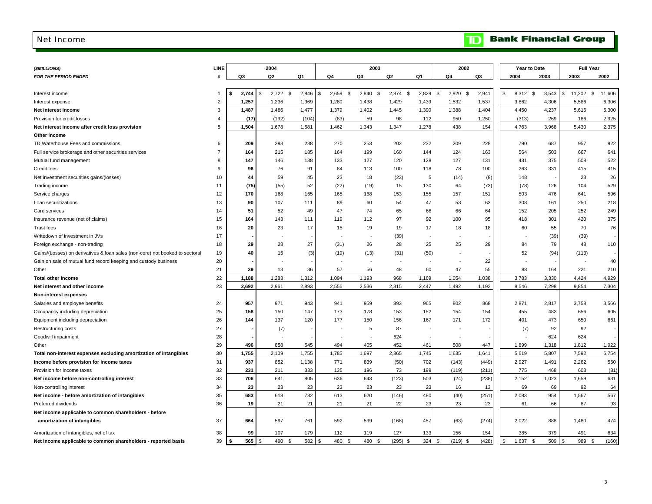#### <span id="page-4-0"></span>Net Income

|  |  | <b>TD</b> Bank Financial Group |  |
|--|--|--------------------------------|--|
|--|--|--------------------------------|--|

| (\$MILLIONS)                                                                 | LINE           |                        | 2004           |                     |                          |             | 2003               |             |             | 2002                     |       |                      | Year to Date |              | <b>Full Year</b> |
|------------------------------------------------------------------------------|----------------|------------------------|----------------|---------------------|--------------------------|-------------|--------------------|-------------|-------------|--------------------------|-------|----------------------|--------------|--------------|------------------|
| <b>FOR THE PERIOD ENDED</b>                                                  | #              | Q3                     | Q <sub>2</sub> | Q1                  | Q4                       | Q3          | Q2                 | Q1          | Q4          |                          | Q3    | 2004                 | 2003         | 2003         | 2002             |
|                                                                              |                |                        |                |                     |                          |             |                    |             |             |                          |       |                      |              |              |                  |
| Interest income                                                              |                | 2,744<br>ŝ.            | \$             | $2,722$ \$<br>2,846 | $\sqrt{3}$<br>$2,659$ \$ | 2,840       | - \$<br>$2,874$ \$ | 2,829       | 2,920<br>\$ | - \$                     | 2,941 | <b>S</b><br>8,312 \$ | 8,543        | \$<br>11,202 | \$<br>11,606     |
| Interest expense                                                             | $\overline{2}$ | 1,257                  | 1,236          | 1,369               | 1,280                    | 1,438       | 1,429              | 1,439       | 1,532       |                          | 1,537 | 3,862                | 4,306        | 5,586        | 6,306            |
| Net interest income                                                          | 3              | 1,487                  | 1,486          | 1,477               | 1,379                    | 1,402       | 1,445              | 1,390       | 1,388       |                          | 1,404 | 4,450                | 4,237        | 5,616        | 5,300            |
| Provision for credit losses                                                  | $\overline{4}$ | (17)                   | (192)          | (104)               | (83)                     | 59          | 98                 | 112         |             | 950                      | 1,250 | (313)                | 269          | 186          | 2,925            |
| Net interest income after credit loss provision                              | 5              | 1,504                  | 1,678          | 1,581               | 1,462                    | 1,343       | 1,347              | 1,278       |             | 438                      | 154   | 4,763                | 3,968        | 5,430        | 2,375            |
| Other income                                                                 |                |                        |                |                     |                          |             |                    |             |             |                          |       |                      |              |              |                  |
| TD Waterhouse Fees and commissions                                           | 6              | 209                    | 293            | 288                 | 270                      | 253         | 202                | 232         |             | 209                      | 228   | 790                  | 687          | 957          | 922              |
| Full service brokerage and other securities services                         | $\overline{7}$ | 164                    | 215            | 185                 | 164                      | 199         | 160                | 144         |             | 124                      | 163   | 564                  | 503          | 667          | 641              |
| Mutual fund management                                                       | 8              | 147                    |                | 146<br>138          | 133                      | 127         | 120                | 128         |             | 127                      | 131   | 431                  | 375          | 508          | 522              |
| Credit fees                                                                  | 9              | 96                     |                | 76<br>91            | 84                       | 113         | 100                | 118         |             | 78                       | 100   | 263                  | 331          | 415          | 415              |
| Net investment securities gains/(losses)                                     | 10             | 44                     |                | 59<br>45            | 23                       | 18          | (23)               | 5           |             | (14)                     | (8)   | 148                  |              | 23           | 26               |
| Trading income                                                               | 11             | (75)                   |                | 52<br>(55)          | (22)                     | (19)        | 15                 | 130         |             | 64                       | (73)  | (78)                 | 126          | 104          | 529              |
| Service charges                                                              | 12             | 170                    |                | 168<br>165          | 165                      | 168         | 153                | 155         |             | 157                      | 151   | 503                  | 476          | 641          | 596              |
| Loan securitizations                                                         | 13             | 90                     |                | 107<br>111          | 89                       | 60          | 54                 | 47          |             | 53                       | 63    | 308                  | 161          | 250          | 218              |
| Card services                                                                | 14             | 51                     |                | 52<br>49            | 47                       | 74          | 65                 | 66          |             | 66                       | 64    | 152                  | 205          | 252          | 249              |
| Insurance revenue (net of claims)                                            | 15             | 164                    |                | 143<br>111          | 119                      | 112         | 97                 | 92          |             | 100                      | 95    | 418                  | 301          | 420          | 375              |
| <b>Trust fees</b>                                                            | 16             | 20                     |                | 23<br>17            | 15                       | 19          | 19                 | 17          |             | 18                       | 18    | 60                   | 55           | 70           | 76               |
| Writedown of investment in JVs                                               | 17             |                        |                |                     |                          |             | (39)               |             |             |                          |       |                      | (39)         | (39)         |                  |
| Foreign exchange - non-trading                                               | 18             | 29                     |                | 28<br>27            | (31)                     | 26          | 28                 | 25          |             | 25                       | 29    | 84                   | 79           | 48           | 110              |
| Gains/(Losses) on derivatives & loan sales (non-core) not booked to sectoral | 19             | 40                     |                | 15                  | (3)<br>(19)              | (13)        | (31)               | (50)        |             | $\overline{\phantom{a}}$ |       | 52                   | (94)         | (113)        |                  |
| Gain on sale of mutual fund record keeping and custody business              | 20             |                        |                |                     |                          |             |                    |             |             |                          | 22    |                      |              |              | 40               |
| Other                                                                        | 21             | 39                     |                | 13<br>36            | 57                       | 56          | 48                 | 60          |             | 47                       | 55    | 88                   | 164          | 221          | 210              |
| <b>Total other income</b>                                                    | 22             | 1,188                  | 1,283          | 1,312               | 1,094                    | 1,193       | 968                | 1,169       | 1,054       |                          | 1,038 | 3,783                | 3,330        | 4,424        | 4,929            |
| Net interest and other income                                                | 23             | 2,692                  | 2,961          | 2,893               | 2,556                    | 2,536       | 2,315              | 2,447       | 1,492       |                          | 1,192 | 8,546                | 7,298        | 9,854        | 7,304            |
| Non-interest expenses                                                        |                |                        |                |                     |                          |             |                    |             |             |                          |       |                      |              |              |                  |
| Salaries and employee benefits                                               | 24             | 957                    | 971            | 943                 | 941                      | 959         | 893                | 965         |             | 802                      | 868   | 2,871                | 2,817        | 3,758        | 3,566            |
| Occupancy including depreciation                                             | 25             | 158                    |                | 150<br>147          | 173                      | 178         | 153                | 152         |             | 154                      | 154   | 455                  | 483          | 656          | 605              |
| Equipment including depreciation                                             | 26             | 144                    |                | 137<br>120          | 177                      | 150         | 156                | 167         |             | 171                      | 172   | 401                  | 473          | 650          | 661              |
| Restructuring costs                                                          | 27             |                        |                | (7)                 |                          | 5           | 87                 |             |             |                          |       | (7)                  | 92           | 92           |                  |
| Goodwill impairment                                                          | 28             |                        |                |                     |                          |             | 624                |             |             |                          |       |                      | 624          | 624          |                  |
| Other                                                                        | 29             | 496                    | 858            | 545                 | 494                      | 405         | 452                | 461         |             | 508                      | 447   | 1,899                | 1,318        | 1,812        | 1,922            |
| Total non-interest expenses excluding amortization of intangibles            | 30             | 1,755                  | 2,109          | 1,755               | 1,785                    | 1,697       | 2,365              | 1,745       | 1,635       |                          | 1,641 | 5,619                | 5,807        | 7,592        | 6,754            |
| Income before provision for income taxes                                     | 31             | 937                    | 852            | 1,138               | 771                      | 839         | (50)               | 702         |             | (143)                    | (449) | 2,927                | 1,491        | 2,262        | 550              |
| Provision for income taxes                                                   | 32             | 231                    | 211            | 333                 | 135                      | 196         | 73                 | 199         |             | (119)                    | (211) | 775                  | 468          | 603          | (81)             |
| Net income before non-controlling interest                                   | 33             | 706                    | 641            | 805                 | 636                      | 643         | (123)              | 503         |             | (24)                     | (238) | 2,152                | 1,023        | 1,659        | 631              |
| Non-controlling interest                                                     | 34             | 23                     |                | 23<br>23            | 23                       | 23          | 23                 | 23          |             | 16                       | 13    | 69                   | 69           | 92           | 64               |
| Net income - before amortization of intangibles                              | 35             | 683                    | 618            | 782                 | 613                      | 620         | (146)              | 480         |             | (40)                     | (251) | 2,083                | 954          | 1,567        | 567              |
| Preferred dividends                                                          | 36             | 19                     |                | 21<br>21            | 21                       | 21          | 22                 | 23          |             | 23                       | 23    | 61                   | 66           | 87           | 93               |
| Net income applicable to common shareholders - before                        |                |                        |                |                     |                          |             |                    |             |             |                          |       |                      |              |              |                  |
| amortization of intangibles                                                  | 37             | 664                    | 597            | 761                 | 592                      | 599         | (168)              | 457         |             | (63)                     | (274) | 2,022                | 888          | 1,480        | 474              |
| Amortization of intangibles, net of tax                                      | 38             | 99                     |                | 107<br>179          | 112                      | 119         | 127                | 133         |             | 156                      | 154   | 385                  | 379          | 491          | 634              |
| Net income applicable to common shareholders - reported basis                | 39             | $565$ $\sqrt{3}$<br>\$ |                | 490<br>582<br>- \$  | <b>S</b><br>480          | 480<br>- \$ | (295)<br>\$        | 324<br>- \$ | \$          | $(219)$ \$               | (428) | 1.637<br><b>S</b>    | 509<br>- \$  | 989<br>\$    | (160)<br>- \$    |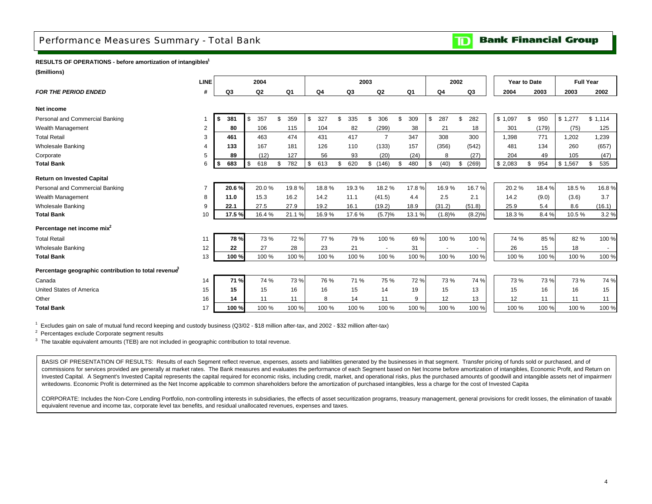## <span id="page-5-0"></span>Performance Measures Summary - Total Bank

**Bank Financial Group**  $\overline{\mathbf{D}}$ 

#### **RESULTS OF OPERATIONS - before amortization of intangibles1**

**(\$millions)**

|                                                     | <b>LINE</b>    |           | 2004              |           |                |           | 2003                     |           |            | 2002        |         | Year to Date |              | <b>Full Year</b> |
|-----------------------------------------------------|----------------|-----------|-------------------|-----------|----------------|-----------|--------------------------|-----------|------------|-------------|---------|--------------|--------------|------------------|
| <b>FOR THE PERIOD ENDED</b>                         |                | Q3        | Q <sub>2</sub>    | Q1        | Q <sub>4</sub> | Q3        | Q2                       | Q1        | Q4         | Q3          | 2004    | 2003         | 2003         | 2002             |
| Net income                                          |                |           |                   |           |                |           |                          |           |            |             |         |              |              |                  |
| Personal and Commercial Banking                     |                | 381<br>\$ | 357<br>\$         | \$<br>359 | \$<br>327      | 335<br>\$ | 306<br>\$                | 309       | 287<br>\$  | 282<br>\$   | \$1,097 | 950<br>\$    | \$1,277      | \$1,114          |
| Wealth Management                                   | $\overline{2}$ | 80        | 106               | 115       | 104            | 82        | (299)                    | 38        | 21         | 18          | 301     | (179)        | (75)         | 125              |
| <b>Total Retail</b>                                 | 3              | 461       | 463               | 474       | 431            | 417       | 7                        | 347       | 308        | 300         | 1.398   | 771          | ,202         | 1,239            |
| <b>Wholesale Banking</b>                            |                | 133       | 167               | 181       | 126            | 110       | (133)                    | 157       | (356)      | (542)       | 481     | 134          | 260          | (657)            |
| Corporate                                           | 5              | 89        | (12)              | 127       | 56             | 93        | (20)                     | (24)      | 8          | (27)        | 204     | 49           | 105          | (47)             |
| <b>Total Bank</b>                                   | 6              | 683<br>\$ | $\sqrt{3}$<br>618 | \$<br>782 | \$<br>613      | \$<br>620 | \$(146)                  | 480<br>\$ | (40)<br>\$ | (269)<br>\$ | \$2,083 | \$<br>954    | \$1<br>1,567 | \$<br>535        |
| <b>Return on Invested Capital</b>                   |                |           |                   |           |                |           |                          |           |            |             |         |              |              |                  |
| Personal and Commercial Banking                     |                | 20.6%     | 20.0%             | 19.8%     | 18.8%          | 19.3%     | 18.2%                    | 17.8%     | 16.9%      | 16.7%       | 20.2%   | 18.4%        | 18.5%        | 16.8%            |
| Wealth Management                                   | 8              | 11.0      | 15.3              | 16.2      | 14.2           | 11.1      | (41.5)                   | 4.4       | 2.5        | 2.1         | 14.2    | (9.0)        | (3.6)        | 3.7              |
| <b>Wholesale Banking</b>                            | 9              | 22.1      | 27.5              | 27.9      | 19.2           | 16.1      | (19.2)                   | 18.9      | (31.2)     | (51.8)      | 25.9    | 5.4          | 8.6          | (16.1)           |
| <b>Total Bank</b>                                   | 10             | 17.5%     | 16.4 %            | 21.1%     | 16.9%          | 17.6%     | (5.7)%                   | 13.1 %    | (1.8)%     | (8.2)%      | 18.3%   | 8.4%         | 10.5%        | 3.2%             |
| Percentage net income mix <sup>2</sup>              |                |           |                   |           |                |           |                          |           |            |             |         |              |              |                  |
| <b>Total Retail</b>                                 | 11             | 78 %      | 73%               | 72%       | 77 %           | 79 %      | 100 %                    | 69%       | 100 %      | 100 %       | 74 %    | 85 %         | 82%          | 100 %            |
| <b>Wholesale Banking</b>                            | 12             | 22        | 27                | 28        | 23             | 21        | $\overline{\phantom{a}}$ | 31        |            | $\sim$      | 26      | 15           | 18           | $\sim$           |
| <b>Total Bank</b>                                   | 13             | 100 %     | 100 %             | 100 %     | 100 %          | 100 %     | 100 %                    | 100 %     | 100 %      | 100 %       | 100 %   | 100 %        | 100 %        | 100 %            |
| Percentage geographic contribution to total revenue |                |           |                   |           |                |           |                          |           |            |             |         |              |              |                  |
| Canada                                              | 14             | 71 %      | 74 %              | 73 %      | 76 %           | 71 %      | 75 %                     | 72 %      | 73 %       | 74 %        | 73 %    | 73 %         | 73 %         | 74 %             |
| United States of America                            | 15             | 15        | 15                | 16        | 16             | 15        | 14                       | 19        | 15         | 13          | 15      | 16           | 16           | 15               |
| Other                                               | 16             | 14        | 11                | 11        | 8              | 14        | 11                       | 9         | 12         | 13          | 12      | 11           | 11           | 11               |
| <b>Total Bank</b>                                   | 17             | 100 %     | 100 %             | 100 %     | 100 %          | 100 %     | 100 %                    | 100 %     | 100 %      | 100 %       | 100 %   | 100 %        | 100%         | 100 %            |

1 Excludes gain on sale of mutual fund record keeping and custody business (Q3/02 - \$18 million after-tax, and 2002 - \$32 million after-tax)

2 Percentages exclude Corporate segment results

<sup>3</sup> The taxable equivalent amounts (TEB) are not included in geographic contribution to total revenue.

BASIS OF PRESENTATION OF RESULTS: Results of each Segment reflect revenue, expenses, assets and liabilities generated by the businesses in that segment. Transfer pricing of funds sold or purchased, and of commissions for services provided are generally at market rates. The Bank measures and evaluates the performance of each Segment based on Net Income before amortization of intangibles, Economic Profit, and Return on Invested Capital. A Segment's Invested Capital represents the capital required for economic risks, including credit, market, and operational risks, plus the purchased amounts of goodwill and intangible assets net of impair writedowns. Economic Profit is determined as the Net Income applicable to common shareholders before the amortization of purchased intangibles, less a charge for the cost of Invested Capita

CORPORATE: Includes the Non-Core Lending Portfolio, non-controlling interests in subsidiaries, the effects of asset securitization programs, treasury management, general provisions for credit losses, the elimination of tax equivalent revenue and income tax, corporate level tax benefits, and residual unallocated revenues, expenses and taxes.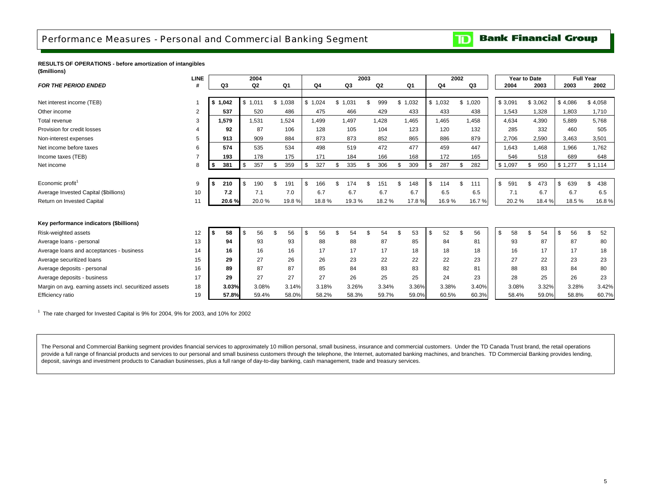## <span id="page-6-0"></span>Performance Measures - Personal and Commercial Banking Segment

#### **Bank Financial Group**  $\mathbf{D}$

#### **RESULTS OF OPERATIONS - before amortization of intangibles (\$millions)**

|                                                        | <b>LINE</b> |                  |        | 2004           |                |           |         | 2003 |                |     |       |           | 2002 |       | Year to Date |          |         |         | <b>Full Year</b> |           |
|--------------------------------------------------------|-------------|------------------|--------|----------------|----------------|-----------|---------|------|----------------|-----|-------|-----------|------|-------|--------------|----------|---------|---------|------------------|-----------|
| <b>FOR THE PERIOD ENDED</b>                            |             | Q3               |        | Q <sub>2</sub> | Q <sub>1</sub> | Q4        | Q3      |      | Q <sub>2</sub> |     | Q1    | Q4        |      | Q3    | 2004         |          | 2003    |         | 2003             | 2002      |
|                                                        |             |                  |        |                |                |           |         |      |                |     |       |           |      |       |              |          |         |         |                  |           |
| Net interest income (TEB)                              |             | \$1,042          |        | \$1,011        | \$1,038        | \$1,024   | \$1,031 |      | 999            | \$. | 1,032 | \$1,032   | \$   | 1,020 | \$3,091      |          | \$3,062 | \$4,086 |                  | \$4,058   |
| Other income                                           | 2           | 537              |        | 520            | 486            | 475       | 466     |      | 429            |     | 433   | 433       |      | 438   | 1,543        |          | 1,328   |         | 1,803            | 1,710     |
| Total revenue                                          | 3           | 1,579            |        | 1,531          | 1,524          | 1,499     | 1,497   |      | 1,428          |     | 1,465 | 1,465     |      | 1,458 | 4,634        |          | 4,390   |         | 5,889            | 5,768     |
| Provision for credit losses                            |             | 92               |        | 87             | 106            | 128       | 105     |      | 104            |     | 123   | 120       |      | 132   | 285          |          | 332     |         | 460              | 505       |
| Non-interest expenses                                  | 5           | 913              |        | 909            | 884            | 873       | 873     |      | 852            |     | 865   | 886       |      | 879   | 2,706        |          | 2,590   |         | 3,463            | 3,501     |
| Net income before taxes                                | 6           | 574              |        | 535            | 534            | 498       | 519     |      | 472            |     | 477   | 459       |      | 447   | 1.643        |          | 1.468   |         | 1.966            | 1.762     |
| Income taxes (TEB)                                     |             | 193              |        | 178            | 175            | 171       | 184     |      | 166            |     | 168   | 172       |      | 165   | 546          |          | 518     |         | 689              | 648       |
| Net income                                             | 8           | 381<br>\$        | $1$ \$ | 357            | 359            | \$<br>327 | 335     |      | 306            |     | 309   | 287       |      | 282   | \$1,097      | <b>β</b> | 950     | \$1,277 |                  | \$1,114   |
|                                                        |             |                  |        |                |                |           |         |      |                |     |       |           |      |       |              |          |         |         |                  |           |
| Economic profit <sup>1</sup>                           | 9           | 210              | \$     | 190            | \$<br>191      | \$<br>166 | 74      |      | 151            |     | 148   | \$<br>114 |      | 111   | \$<br>591    |          | 473     | \$      | 639              | 438<br>\$ |
| Average Invested Capital (\$billions)                  | 10          | 7.2              |        | 7.1            | 7.0            | 6.7       | 6.7     |      | 6.7            |     | 6.7   | 6.5       |      | 6.5   | 7.1          |          | 6.7     |         | 6.7              | 6.5       |
| Return on Invested Capital                             | 11          | 20.6 %           |        | 20.0%          | 19.8%          | 18.8%     | 19.3 %  |      | 18.2%          |     | 17.8% | 16.9%     |      | 16.7% | 20.2%        |          | 18.4 %  |         | 18.5%            | 16.8%     |
|                                                        |             |                  |        |                |                |           |         |      |                |     |       |           |      |       |              |          |         |         |                  |           |
| Key performance indicators (\$billions)                |             |                  |        |                |                |           |         |      |                |     |       |           |      |       |              |          |         |         |                  |           |
| Risk-weighted assets                                   | 12          | 58<br>$\sqrt{5}$ | \$     | 56             | 56             | \$<br>56  | 54      |      | 54             |     | 53    | 52        |      | 56    | 58<br>\$     |          | 54      | \$      | 56               | 52<br>\$  |
| Average loans - personal                               | 13          | 94               |        | 93             | 93             | 88        | 88      |      | 87             |     | 85    | 84        |      | 81    | 93           |          | 87      |         | 87               | 80        |
| Average loans and acceptances - business               | 14          | 16               |        | 16             | 16             | 17        | 17      |      | 17             |     | 18    | 18        |      | 18    | 16           |          | 17      |         | 17               | 18        |
| Average securitized loans                              | 15          | 29               |        | 27             | 26             | 26        | 23      |      | 22             |     | 22    | 22        |      | 23    | 27           |          | 22      |         | 23               | 23        |
| Average deposits - personal                            | 16          | 89               |        | 87             | 87             | 85        | 84      |      | 83             |     | 83    | 82        |      | 81    | 88           |          | 83      |         | 84               | 80        |
| Average deposits - business                            | 17          | 29               |        | 27             | 27             | 27        | 26      |      | 25             |     | 25    | 24        |      | 23    | 28           |          | 25      |         | 26               | 23        |
| Margin on avg. earning assets incl. securitized assets | 18          | 3.03%            |        | 3.08%          | 3.14%          | 3.18%     | 3.26%   |      | 3.34%          |     | 3.36% | 3.38%     |      | 3.40% | 3.08%        |          | 3.32%   |         | 3.28%            | 3.42%     |
| Efficiency ratio                                       | 19          | 57.8%            |        | 59.4%          | 58.0%          | 58.2%     | 58.3%   |      | 59.7%          |     | 59.0% | 60.5%     |      | 60.3% | 58.4%        |          | 59.0%   |         | 58.8%            | 60.7%     |

 $1$  The rate charged for Invested Capital is 9% for 2004, 9% for 2003, and 10% for 2002

The Personal and Commercial Banking segment provides financial services to approximately 10 million personal, small business, insurance and commercial customers. Under the TD Canada Trust brand, the retail operations provide a full range of financial products and services to our personal and small business customers through the telephone, the Internet, automated banking machines, and branches. TD Commercial Banking provides lending, deposit, savings and investment products to Canadian businesses, plus a full range of day-to-day banking, cash management, trade and treasury services.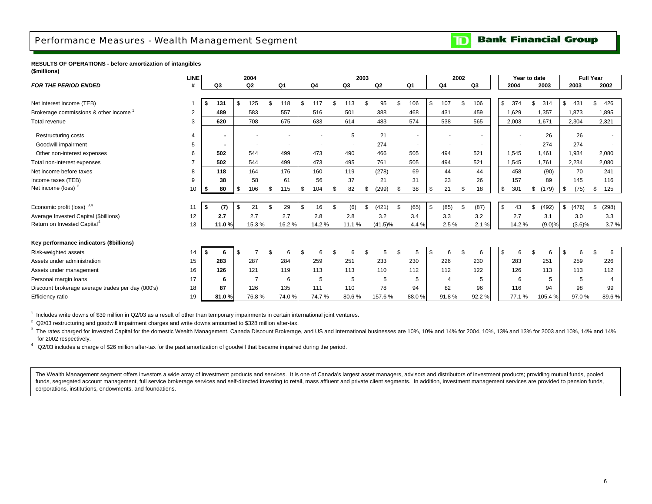## <span id="page-7-0"></span>Performance Measures - Wealth Management Segment

#### **Bank Financial Group**  $\mathbf{D}$

**RESULTS OF OPERATIONS - before amortization of intangibles (\$millions)**

|                                                   | LINE           |      |                |            | 2004           |                |            |       |          | 2003 |            |    |        |      |       | 2002 |        |    | Year to date |             |           | <b>Full Year</b> |             |                |
|---------------------------------------------------|----------------|------|----------------|------------|----------------|----------------|------------|-------|----------|------|------------|----|--------|------|-------|------|--------|----|--------------|-------------|-----------|------------------|-------------|----------------|
| <b>FOR THE PERIOD ENDED</b>                       |                |      | Q3             |            | Q <sub>2</sub> | Q1             |            | Q4    | Q3       |      | Q2         |    | Q1     |      | Q4    |      | Q3     |    | 2004         | 2003        |           | 2003             | 2002        |                |
|                                                   |                |      |                |            |                |                |            |       |          |      |            |    |        |      |       |      |        |    |              |             |           |                  |             |                |
| Net interest income (TEB)                         |                |      | 131            | <b>S</b>   | 125            | 118            | \$         | 117   | 113      |      | 95         |    | 106    | \$   | 107   |      | 106    |    | \$<br>374    | \$<br>314   | \$        | 431              | 426<br>\$.  |                |
| Brokerage commissions & other income              | $\overline{2}$ |      | 489            |            | 583            | 557            |            | 516   | 501      |      | 388        |    | 468    |      | 431   |      | 459    |    | 1,629        | 1,357       |           | 1,873            | 1,895       |                |
| Total revenue                                     | 3              |      | 620            |            | 708            | 675            |            | 633   | 614      |      | 483        |    | 574    |      | 538   |      | 565    |    | 2,003        | 1,671       |           | 2,304            | 2,321       |                |
| <b>Restructuring costs</b>                        |                |      |                |            |                |                |            |       | 5        |      | 21         |    |        |      |       |      |        |    |              | 26          |           | 26               |             |                |
| Goodwill impairment                               | 5              |      | $\blacksquare$ |            |                | $\blacksquare$ |            |       |          |      | 274        |    | $\sim$ |      |       |      | $\sim$ |    |              | 274         |           | 274              |             |                |
| Other non-interest expenses                       | 6              |      | 502            |            | 544            | 499            |            | 473   | 490      |      | 466        |    | 505    |      | 494   |      | 521    |    | 1,545        | 1,461       |           | 1,934            | 2,080       |                |
| Total non-interest expenses                       | $\overline{7}$ |      | 502            |            | 544            | 499            |            | 473   | 495      |      | 761        |    | 505    |      | 494   |      | 521    |    | 1,545        | 1,761       |           | 2,234            | 2,080       |                |
| Net income before taxes                           | 8              |      | 118            |            | 164            | 176            |            | 160   | 119      |      | (278)      |    | 69     |      | 44    |      | 44     |    | 458          | (90)        |           | 70               | 241         |                |
| Income taxes (TEB)                                | 9              |      | 38             |            | 58             | 61             |            | 56    | 37       |      | 21         |    | 31     |      | 23    |      | 26     |    | 157          | 89          |           | 145              | 116         |                |
| Net income (loss) <sup>2</sup>                    | 10             | I \$ | 80             | $\sqrt{3}$ | 106            | \$<br>115      | $\sqrt{3}$ | 104   | \$<br>82 | \$   | (299)      | \$ | 38     | \$   | 21    | \$   | 18     | \$ | 301          | \$<br>(179) | \$        | (75)             | 125<br>\$   |                |
|                                                   |                |      |                |            |                |                |            |       |          |      |            |    |        |      |       |      |        |    |              |             |           |                  |             |                |
| Economic profit (loss) 3,4                        | 11             |      | (7)            | \$.        | 21             | 29             | \$         | 16    | (6)      | .Գ   | (421)      | ۹  | (65)   | - \$ | (85)  |      | (87)   | S  | 43           | \$<br>(492) | \$        | (476)            | (298)<br>\$ |                |
| Average Invested Capital (\$billions)             | 12             |      | 2.7            |            | 2.7            | 2.7            |            | 2.8   | 2.8      |      | 3.2        |    | 3.4    |      | 3.3   |      | 3.2    |    | 2.7          | 3.1         |           | 3.0              |             | 3.3            |
| Return on Invested Capital <sup>4</sup>           | 13             |      | 11.0%          |            | 15.3%          | 16.2%          |            | 14.2% | 11.1 %   |      | $(41.5)\%$ |    | 4.4%   |      | 2.5%  |      | 2.1%   |    | 14.2%        | (9.0)%      |           | $(3.6)\%$        |             | 3.7%           |
|                                                   |                |      |                |            |                |                |            |       |          |      |            |    |        |      |       |      |        |    |              |             |           |                  |             |                |
| Key performance indicators (\$billions)           |                |      |                |            |                |                |            |       |          |      |            |    |        |      |       |      |        |    |              |             |           |                  |             |                |
| Risk-weighted assets                              | 14             |      | -6             | \$         |                | \$<br>6        | \$         | 6     | 6        |      | 5          | ٩  | 5      | \$   | 6     |      | 6      | S  |              |             | <b>.ε</b> |                  |             | 6              |
| Assets under administration                       | 15             |      | 283            |            | 287            | 284            |            | 259   | 251      |      | 233        |    | 230    |      | 226   |      | 230    |    | 283          | 251         |           | 259              | 226         |                |
| Assets under management                           | 16             |      | 126            |            | 121            | 119            |            | 113   | 113      |      | 110        |    | 112    |      | 112   |      | 122    |    | 126          | 113         |           | 113              | 112         |                |
| Personal margin loans                             | 17             |      | 6              |            | $\overline{7}$ | 6              |            | 5     | 5        |      | 5          |    | 5      |      | 4     |      | 5      |    | 6            |             |           | 5                |             | $\overline{4}$ |
| Discount brokerage average trades per day (000's) | 18             |      | 87             |            | 126            | 135            |            | 111   | 110      |      | 78         |    | 94     |      | 82    |      | 96     |    | 116          | 94          |           | 98               |             | 99             |
| Efficiency ratio                                  | 19             |      | 81.0%          |            | 76.8%          | 74.0%          |            | 74.7% | 80.6%    |      | 157.6%     |    | 88.0%  |      | 91.8% |      | 92.2%  |    | 77.1%        | 105.4%      |           | 97.0%            |             | 89.6%          |

 $1$  Includes write downs of \$39 million in Q2/03 as a result of other than temporary impairments in certain international joint ventures.

 $2$  Q2/03 restructuring and goodwill impairment charges and write downs amounted to \$328 million after-tax.

<sup>3</sup> The rates charged for Invested Capital for the domestic Wealth Management, Canada Discount Brokerage, and US and International businesses are 10%, 10% and 14% for 2004, 10%, 13% and 13% for 2003 and 10%, 14% and 14% for 2002 respectively.

4 Q2/03 includes a charge of \$26 million after-tax for the past amortization of goodwill that became impaired during the period.

The Wealth Management segment offers investors a wide array of investment products and services. It is one of Canada's largest asset managers, advisors and distributors of investment products; providing mutual funds, poole funds, segregated account management, full service brokerage services and self-directed investing to retail, mass affluent and private client segments. In addition, investment management services are provided to pension fu corporations, institutions, endowments, and foundations.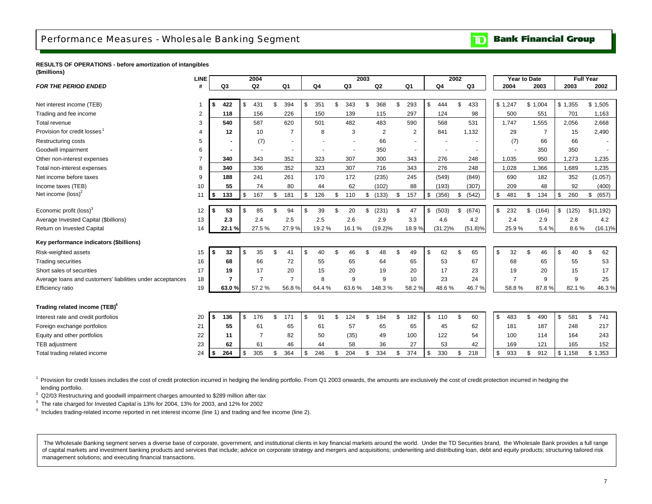## <span id="page-8-0"></span>Performance Measures - Wholesale Banking Segment

#### **Bank Financial Group** וסד

**RESULTS OF OPERATIONS - before amortization of intangibles (\$millions)**

|                                                            | <b>LINE</b> |           | 2004           |     |                |           |    |                          | 2003           |            |                |                |             | 2002 |                | Year to Date   |             | <b>Full Year</b> |             |
|------------------------------------------------------------|-------------|-----------|----------------|-----|----------------|-----------|----|--------------------------|----------------|------------|----------------|----------------|-------------|------|----------------|----------------|-------------|------------------|-------------|
| <b>FOR THE PERIOD ENDED</b>                                | #           | Q3        | Q <sub>2</sub> |     | Q1             | Q4        |    | Q3                       |                | Q2         |                | Q <sub>1</sub> | Q4          |      | Q <sub>3</sub> | 2004           | 2003        | 2003             | 2002        |
|                                                            |             |           |                |     |                |           |    |                          |                |            |                |                |             |      |                |                |             |                  |             |
| Net interest income (TEB)                                  |             | \$<br>422 | \$<br>431      | \$. | 394            | \$<br>351 | \$ | 343                      | \$             | 368        | \$.            | 293            | \$<br>444   | \$   | 433            | \$1,247        | \$1,004     | \$1,355          | \$1,505     |
| Trading and fee income                                     | 2           | 118       | 156            |     | 226            | 150       |    | 139                      |                | 115        |                | 297            | 124         |      | 98             | 500            | 551         | 701              | 1,163       |
| Total revenue                                              | 3           | 540       | 587            |     | 620            | 501       |    | 482                      |                | 483        |                | 590            | 568         |      | 531            | 1,747          | 1,555       | 2,056            | 2,668       |
| Provision for credit losses                                |             | 12        | 10             |     | $\overline{7}$ | 8         |    | 3                        |                | 2          |                | $\overline{2}$ | 841         |      | 1,132          | 29             | 7           | 15               | 2,490       |
| <b>Restructuring costs</b>                                 | 5           |           | (7)            |     |                |           |    |                          |                | 66         |                | $\blacksquare$ |             |      |                | (7)            | 66          | 66               |             |
| Goodwill impairment                                        | 6           |           |                |     | $\overline{a}$ |           |    | $\overline{\phantom{a}}$ |                | 350        |                | $\sim$         |             |      | $\sim$         |                | 350         | 350              |             |
| Other non-interest expenses                                |             | 340       | 343            |     | 352            | 323       |    | 307                      |                | 300        |                | 343            | 276         |      | 248            | 1,035          | 950         | 1,273            | 1,235       |
| Total non-interest expenses                                | 8           | 340       | 336            |     | 352            | 323       |    | 307                      |                | 716        |                | 343            | 276         |      | 248            | 1,028          | 1,366       | 1,689            | 1,235       |
| Net income before taxes                                    | 9           | 188       | 241            |     | 261            | 170       |    | 172                      |                | (235)      |                | 245            | (549)       |      | (849)          | 690            | 182         | 352              | (1,057)     |
| Income taxes (TEB)                                         | 10          | 55        | 74             |     | 80             | 44        |    | 62                       |                | (102)      |                | 88             | (193)       |      | (307)          | 209            | 48          | 92               | (400)       |
| Net income $(\text{loss})^2$                               | 11          | \$<br>133 | \$<br>167      | \$  | 181            | \$<br>126 | \$ | 110                      | \$             | (133)      | \$             | 157            | \$<br>(356) | \$   | (542)          | \$<br>481      | \$<br>134   | \$<br>260        | \$<br>(657) |
|                                                            |             |           |                |     |                |           |    |                          |                |            |                |                |             |      |                |                |             |                  |             |
| Economic profit (loss) <sup>3</sup>                        | 12          | \$<br>53  | \$<br>85       | \$  | 94             | \$<br>39  | \$ | 20                       | \$             | (231)      | <sup>\$</sup>  | 47             | \$<br>(503) | \$   | (674)          | \$<br>232      | \$<br>(164) | \$<br>(125)      | \$(1, 192)  |
| Average Invested Capital (\$billions)                      | 13          | 2.3       | 2.4            |     | 2.5            | 2.5       |    | 2.6                      |                | 2.9        |                | 3.3            | 4.6         |      | 4.2            | 2.4            | 2.9         | 2.8              | 4.2         |
| Return on Invested Capital                                 | 14          | 22.1%     | 27.5%          |     | 27.9%          | 19.2%     |    | 16.1%                    |                | $(19.2)\%$ |                | 18.9%          | $(31.2)\%$  |      | (51.8)%        | 25.9%          | 5.4%        | 8.6%             | $(16.1)\%$  |
| Key performance indicators (\$billions)                    |             |           |                |     |                |           |    |                          |                |            |                |                |             |      |                |                |             |                  |             |
| Risk-weighted assets                                       | 15          | \$<br>32  | \$<br>35       | \$  | 41             | \$<br>40  | \$ | 46                       | \$             | 48         | -\$            | 49             | \$<br>62    | \$   | 65             | \$<br>32       | \$<br>46    | \$<br>40         | \$<br>62    |
| <b>Trading securities</b>                                  | 16          | 68        | 66             |     | 72             | 55        |    | 65                       |                | 64         |                | 65             | 53          |      | 67             | 68             | 65          | 55               | 53          |
| Short sales of securities                                  | 17          | 19        | 17             |     | 20             | 15        |    | 20                       |                | 19         |                | 20             | 17          |      | 23             | 19             | 20          | 15               | 17          |
| Average loans and customers' liabilities under acceptances | 18          | 7         | $\overline{7}$ |     | $\overline{7}$ | 8         |    | 9                        |                | 9          |                | 10             | 23          |      | 24             | $\overline{7}$ | 9           | 9                | 25          |
| Efficiency ratio                                           | 19          | 63.0%     | 57.2%          |     | 56.8%          | 64.4%     |    | 63.6%                    |                | 148.3%     |                | 58.2%          | 48.6%       |      | 46.7%          | 58.8%          | 87.8%       | 82.1%            | 46.3%       |
|                                                            |             |           |                |     |                |           |    |                          |                |            |                |                |             |      |                |                |             |                  |             |
| Trading related income (TEB) <sup>4</sup>                  |             |           |                |     |                |           |    |                          |                |            |                |                |             |      |                |                |             |                  |             |
| Interest rate and credit portfolios                        | 20          | \$<br>136 | \$<br>176      | \$. | 171            | \$<br>91  | £. | 124                      | $\mathfrak{L}$ | 184        | $\mathfrak{L}$ | 182            | \$<br>110   | \$   | 60             | \$<br>483      | \$<br>490   | \$<br>581        | \$<br>741   |
| Foreign exchange portfolios                                | 21          | 55        | 61             |     | 65             | 61        |    | 57                       |                | 65         |                | 65             | 45          |      | 62             | 181            | 187         | 248              | 217         |
| Equity and other portfolios                                | 22          | 11        | 7              |     | 82             | 50        |    | (35)                     |                | 49         |                | 100            | 122         |      | 54             | 100            | 114         | 164              | 243         |
| TEB adjustment                                             | 23          | 62        | 61             |     | 46             | 44        |    | 58                       |                | 36         |                | 27             | 53          |      | 42             | 169            | 121         | 165              | 152         |
| Total trading related income                               | 24          | \$<br>264 | \$<br>305      |     | 364            | 246       | \$ | 204                      | \$             | 334        | \$             | 374            | \$<br>330   | \$   | 218            | \$<br>933      | \$<br>912   | \$1,158          | \$1,353     |

 $1$  Provision for credit losses includes the cost of credit protection incurred in hedging the lending portfolio. From Q1 2003 onwards, the amounts are exclusively the cost of credit protection incurred in hedging the lending portfolio.

<sup>2</sup> Q2/03 Restructuring and goodwill impairment charges amounted to \$289 million after-tax

<sup>3</sup> The rate charged for Invested Capital is 13% for 2004, 13% for 2003, and 12% for 2002

4 Includes trading-related income reported in net interest income (line 1) and trading and fee income (line 2).

The Wholesale Banking segment serves a diverse base of corporate, government, and institutional clients in key financial markets around the world. Under the TD Securities brand, the Wholesale Bank provides a full range of capital markets and investment banking products and services that include; advice on corporate strategy and mergers and acquisitions; underwriting and distributing loan, debt and equity products; structuring tailored risk management solutions; and executing financial transactions.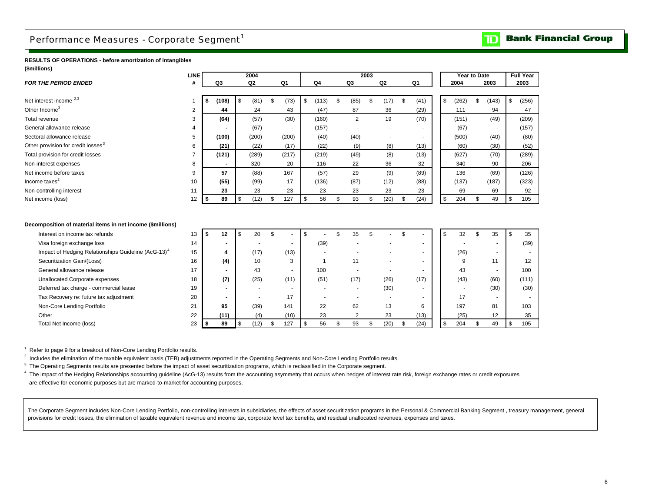## <span id="page-9-0"></span>Performance Measures - Corporate Segment<sup>1</sup>

#### **Bank Financial Group**  $\overline{\mathbf{D}}$

#### **RESULTS OF OPERATIONS - before amortization of intangibles (\$millions)**

| (שווווווויש)                                                    | <b>LINE</b> |                          | 2004           |                          |                          |                          | 2003 |                |            | Year to Date |                          | <b>Full Year</b> |
|-----------------------------------------------------------------|-------------|--------------------------|----------------|--------------------------|--------------------------|--------------------------|------|----------------|------------|--------------|--------------------------|------------------|
| <b>FOR THE PERIOD ENDED</b>                                     | #           | Q3                       | Q2             | Q1                       | Q <sub>4</sub>           | Q3                       |      | Q <sub>2</sub> | Q1         | 2004         | 2003                     | 2003             |
|                                                                 |             |                          |                |                          |                          |                          |      |                |            |              |                          |                  |
| Net interest income <sup>2,3</sup>                              |             | \$<br>(108)              | \$<br>(81)     | \$<br>(73)               | \$<br>(113)              | \$<br>(85)               | \$   | (17)           | \$<br>(41) | \$<br>(262)  | \$<br>(143)              | \$<br>(256)      |
| Other Income <sup>3</sup>                                       | 2           | 44                       | 24             | 43                       | (47)                     | 87                       |      | 36             | (29)       | 111          | 94                       | 47               |
| Total revenue                                                   | 3           | (64)                     | (57)           | (30)                     | (160)                    | $\overline{2}$           |      | 19             | (70)       | (151)        | (49)                     | (209)            |
| General allowance release                                       |             |                          | (67)           |                          | (157)                    |                          |      |                |            | (67)         |                          | (157)            |
| Sectoral allowance release                                      | 5           | (100)                    | (200)          | (200)                    | (40)                     | (40)                     |      |                |            | (500)        | (40)                     | (80)             |
| Other provision for credit losses <sup>3</sup>                  | 6           | (21)                     | (22)           | (17)                     | (22)                     | (9)                      |      | (8)            | (13)       | (60)         | (30)                     | (52)             |
| Total provision for credit losses                               |             | (121)                    | (289)          | (217)                    | (219)                    | (49)                     |      | (8)            | (13)       | (627)        | (70)                     | (289)            |
| Non-interest expenses                                           | 8           | $\overline{\phantom{a}}$ | 320            | 20                       | 116                      | 22                       |      | 36             | 32         | 340          | 90                       | 206              |
| Net income before taxes                                         | 9           | 57                       | (88)           | 167                      | (57)                     | 29                       |      | (9)            | (89)       | 136          | (69)                     | (126)            |
| Income taxes <sup>2</sup>                                       | 10          | (55)                     | (99)           | 17                       | (136)                    | (87)                     |      | (12)           | (88)       | (137)        | (187)                    | (323)            |
| Non-controlling interest                                        | 11          | 23                       | 23             | 23                       | 23                       | 23                       |      | 23             | 23         | 69           | 69                       | 92               |
| Net income (loss)                                               | 12          | \$<br>89                 | \$<br>(12)     | \$<br>127                | \$<br>56                 | \$<br>93                 | \$   | (20)           | \$<br>(24) | \$<br>204    | \$<br>49                 | \$<br>105        |
|                                                                 |             |                          |                |                          |                          |                          |      |                |            |              |                          |                  |
|                                                                 |             |                          |                |                          |                          |                          |      |                |            |              |                          |                  |
| Decomposition of material items in net income (\$millions)      |             |                          |                |                          |                          |                          |      |                |            |              |                          |                  |
| Interest on income tax refunds                                  | 13          | \$<br>12                 | \$<br>20       | \$                       | \$                       | \$<br>35                 | \$   |                | \$         | \$<br>32     | \$<br>35                 | \$<br>35         |
| Visa foreign exchange loss                                      | 14          |                          |                | ٠                        | (39)                     |                          |      |                |            |              |                          | (39)             |
| Impact of Hedging Relationships Guideline (AcG-13) <sup>4</sup> | 15          | 4                        | (17)           | (13)                     |                          |                          |      |                |            | (26)         |                          |                  |
| Securitization Gain/(Loss)                                      | 16          | (4)                      | 10             | 3                        | $\overline{1}$           | 11                       |      |                |            | 9            | 11                       | 12               |
| General allowance release                                       | 17          | $\blacksquare$           | 43             | $\overline{\phantom{a}}$ | 100                      |                          |      | $\blacksquare$ |            | 43           | $\sim$                   | 100              |
| <b>Unallocated Corporate expenses</b>                           | 18          | (7)                      | (25)           | (11)                     | (51)                     | (17)                     |      | (26)           | (17)       | (43)         | (60)                     | (111)            |
| Deferred tax charge - commercial lease                          | 19          | $\blacksquare$           | ٠              | ٠                        |                          | $\overline{\phantom{a}}$ |      | (30)           |            |              | (30)                     | (30)             |
| Tax Recovery re: future tax adjustment                          | 20          |                          | $\blacksquare$ | 17                       | $\overline{\phantom{a}}$ | $\overline{\phantom{a}}$ |      |                |            | 17           | $\overline{\phantom{a}}$ |                  |
| Non-Core Lending Portfolio                                      | 21          | 95                       | (39)           | 141                      | 22                       | 62                       |      | 13             | 6          | 197          | 81                       | 103              |
| Other                                                           | 22          | (11)                     | (4)            | (10)                     | 23                       | $\overline{c}$           |      | 23             | (13)       | (25)         | 12                       | 35               |
| Total Net Income (loss)                                         | 23          | \$<br>89                 | \$<br>(12)     | \$<br>127                | \$<br>56                 | \$<br>93                 | \$   | (20)           | \$<br>(24) | \$<br>204    | \$<br>49                 | \$<br>105        |

<sup>1</sup> Refer to page 9 for a breakout of Non-Core Lending Portfolio results.

<sup>2</sup> Includes the elimination of the taxable equivalent basis (TEB) adjustments reported in the Operating Segments and Non-Core Lending Portfolio results.

<sup>3</sup> The Operating Segments results are presented before the impact of asset securitization programs, which is reclassified in the Corporate segment.

<sup>4</sup> The impact of the Hedging Relationships accounting guideline (AcG-13) results from the accounting asymmetry that occurs when hedges of interest rate risk, foreign exchange rates or credit exposures are effective for economic purposes but are marked-to-market for accounting purposes.

The Corporate Segment includes Non-Core Lending Portfolio, non-controlling interests in subsidiaries, the effects of asset securitization programs in the Personal & Commercial Banking Segment, treasury management, general provisions for credit losses, the elimination of taxable equivalent revenue and income tax, corporate level tax benefits, and residual unallocated revenues, expenses and taxes.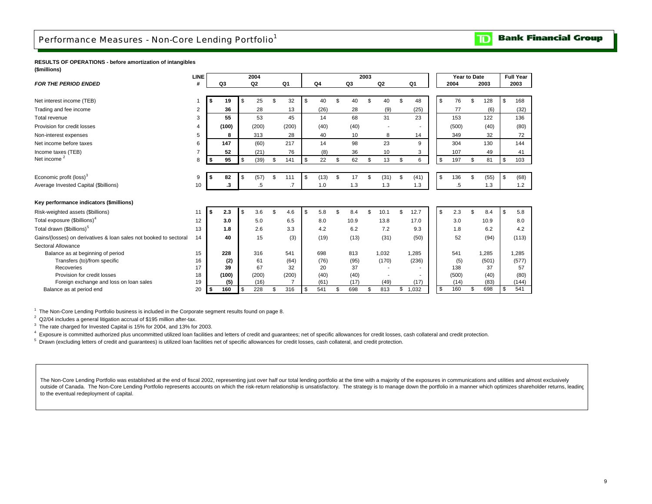## <span id="page-10-0"></span>Performance Measures - Non-Core Lending Portfolio<sup>1</sup>

#### **Bank Financial Group** TD

#### **RESULTS OF OPERATIONS - before amortization of intangibles (\$millions)**

|                                                                   | <b>LINE</b>    |                | 2004       |           |     |      |           | 2003 |       |                |           |      | Year to Date |       | <b>Full Year</b> |
|-------------------------------------------------------------------|----------------|----------------|------------|-----------|-----|------|-----------|------|-------|----------------|-----------|------|--------------|-------|------------------|
| <b>FOR THE PERIOD ENDED</b>                                       | #              | Q <sub>3</sub> | Q2         | Q1        |     | Q4   | Q3        |      | Q2    | Q <sub>1</sub> | 2004      |      |              | 2003  | 2003             |
|                                                                   |                |                |            |           |     |      |           |      |       |                |           |      |              |       |                  |
| Net interest income (TEB)                                         |                | \$<br>19       | \$<br>25   | \$<br>32  | \$  | 40   | \$<br>40  | \$   | 40    | \$<br>48       | \$        | 76   | \$           | 128   | \$<br>168        |
| Trading and fee income                                            | 2              | 36             | 28         | 13        |     | (26) | 28        |      | (9)   | (25)           |           | 77   |              | (6)   | (32)             |
| Total revenue                                                     | 3              | 55             | 53         | 45        |     | 14   | 68        |      | 31    | 23             | 153       |      |              | 122   | 136              |
| Provision for credit losses                                       | 4              | (100)          | (200)      | (200)     |     | (40) | (40)      |      |       |                | (500)     |      |              | (40)  | (80)             |
| Non-interest expenses                                             | 5              | 8              | 313        | 28        |     | 40   | 10        |      | 8     | 14             | 349       |      |              | 32    | 72               |
| Net income before taxes                                           | 6              | 147            | (60)       | 217       |     | 14   | 98        |      | 23    | 9              | 304       |      |              | 130   | 144              |
| Income taxes (TEB)                                                | $\overline{7}$ | 52             | (21)       | 76        |     | (8)  | 36        |      | 10    | 3              | 107       |      |              | 49    | 41               |
| Net income <sup>2</sup>                                           | 8              | \$<br>95       | \$<br>(39) | \$<br>141 | \$  | 22   | \$<br>62  | \$   | 13    | \$<br>6        | \$<br>197 |      | \$           | 81    | \$<br>103        |
|                                                                   |                |                |            |           |     |      |           |      |       |                |           |      |              |       |                  |
| Economic profit (loss) <sup>3</sup>                               | 9              | \$<br>82       | \$<br>(57) | \$<br>111 | \$  | (13) | \$<br>17  |      | (31)  | \$<br>(41)     | \$<br>136 |      | \$           | (55)  | \$<br>(68)       |
| Average Invested Capital (\$billions)                             | 10             | .3             | .5         | $\cdot$ 7 |     | 1.0  | 1.3       |      | 1.3   | 1.3            |           | .5   |              | 1.3   | 1.2              |
|                                                                   |                |                |            |           |     |      |           |      |       |                |           |      |              |       |                  |
| Key performance indicators (\$millions)                           |                |                |            |           |     |      |           |      |       |                |           |      |              |       |                  |
| Risk-weighted assets (\$billions)                                 | 11             | \$<br>2.3      | \$<br>3.6  | \$<br>4.6 | \$  | 5.8  | \$<br>8.4 | \$   | 10.1  | \$<br>12.7     | \$<br>2.3 |      | $\mathbf{f}$ | 8.4   | \$<br>5.8        |
| Total exposure (\$billions) <sup>4</sup>                          | 12             | 3.0            | 5.0        | 6.5       |     | 8.0  | 10.9      |      | 13.8  | 17.0           |           | 3.0  |              | 10.9  | 8.0              |
| Total drawn (\$billions) <sup>5</sup>                             | 13             | 1.8            | 2.6        | 3.3       |     | 4.2  | 6.2       |      | 7.2   | 9.3            | 1.8       |      |              | 6.2   | 4.2              |
| Gains/(losses) on derivatives & loan sales not booked to sectoral | 14             | 40             | 15         | (3)       |     | (19) | (13)      |      | (31)  | (50)           |           | 52   |              | (94)  | (113)            |
| Sectoral Allowance                                                |                |                |            |           |     |      |           |      |       |                |           |      |              |       |                  |
| Balance as at beginning of period                                 | 15             | 228            | 316        | 541       |     | 698  | 813       |      | 1,032 | 1,285          | 541       |      |              | 1,285 | 1,285            |
| Transfers (to)/from specific                                      | 16             | (2)            | 61         | (64)      |     | (76) | (95)      |      | (170) | (236)          |           | (5)  |              | (501) | (577)            |
| Recoveries                                                        | 17             | 39             | 67         | 32        |     | 20   | 37        |      |       |                | 138       |      |              | 37    | 57               |
| Provision for credit losses                                       | 18             | (100)          | (200)      | (200)     |     | (40) | (40)      |      |       |                | (500)     |      |              | (40)  | (80)             |
| Foreign exchange and loss on loan sales                           | 19             | (5)            | (16)       |           |     | (61) | (17)      |      | (49)  | (17)           |           | (14) |              | (83)  | (144)            |
| Balance as at period end                                          | 20             | \$<br>160      | \$<br>228  | \$<br>316 | -\$ | 541  | \$<br>698 | \$   | 813   | \$<br>1,032    | \$<br>160 |      | \$           | 698   | \$<br>541        |

<sup>1</sup> The Non-Core Lending Portfolio business is included in the Corporate segment results found on page 8.

<sup>2</sup> Q2/04 includes a general litigation accrual of \$195 million after-tax.

<sup>3</sup> The rate charged for Invested Capital is 15% for 2004, and 13% for 2003.

4 Exposure is committed authorized plus uncommitted utilized loan facilities and letters of credit and guarantees; net of specific allowances for credit losses, cash collateral and credit protection.

<sup>5</sup> Drawn (excluding letters of credit and guarantees) is utilized loan facilities net of specific allowances for credit losses, cash collateral, and credit protection.

The Non-Core Lending Portfolio was established at the end of fiscal 2002, representing just over half our total lending portfolio at the time with a majority of the exposures in communications and utilities and almost excl outside of Canada. The Non-Core Lending Portfolio represents accounts on which the risk-return relationship is unsatisfactory. The strategy is to manage down the portfolio in a manner which optimizes shareholder returns, l to the eventual redeployment of capital.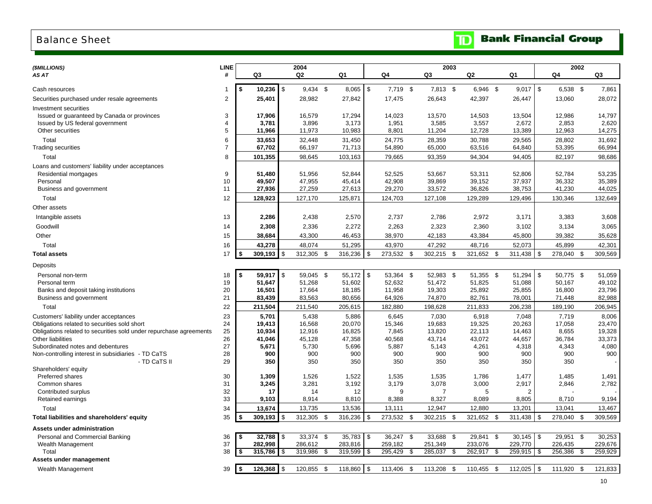### <span id="page-11-0"></span>Balance Sheet

| <b>The Bank Financial Group</b> |  |  |  |
|---------------------------------|--|--|--|
|---------------------------------|--|--|--|

| (\$MILLIONS)                                                       | <b>LINE</b>         |                          |                | 2004                  |                         |      |                         | 2003               |     |                    |      |                         |            |                    | 2002 |                    |
|--------------------------------------------------------------------|---------------------|--------------------------|----------------|-----------------------|-------------------------|------|-------------------------|--------------------|-----|--------------------|------|-------------------------|------------|--------------------|------|--------------------|
| AS AT                                                              | #                   | Q3                       |                | Q2                    | Q1                      |      | Q4                      | Q3                 |     | Q2                 |      | Q1                      |            | Q4                 |      | Q3                 |
|                                                                    |                     |                          |                |                       |                         |      |                         |                    |     |                    |      |                         |            |                    |      |                    |
| Cash resources                                                     |                     | $10,236$ \$<br>\$        |                | $9,434$ \$            | $8,065$ \$              |      | 7,719 \$                | 7,813 \$           |     | 6,946 \$           |      | $9,017$ \$              |            | 6,538 \$           |      | 7,861              |
| Securities purchased under resale agreements                       | $\overline{2}$      | 25,401                   |                | 28,982                | 27,842                  |      | 17,475                  | 26,643             |     | 42,397             |      | 26,447                  |            | 13,060             |      | 28,072             |
| Investment securities                                              |                     |                          |                |                       |                         |      |                         |                    |     |                    |      |                         |            |                    |      |                    |
| Issued or guaranteed by Canada or provinces                        | 3                   | 17,906                   |                | 16,579                | 17,294                  |      | 14,023                  | 13,570             |     | 14,503             |      | 13,504                  |            | 12,986             |      | 14,797             |
| Issued by US federal government<br>Other securities                | $\overline{4}$<br>5 | 3,781<br>11,966          |                | 3,896<br>11,973       | 3,173<br>10,983         |      | 1,951<br>8,801          | 3,585<br>11,204    |     | 3,557<br>12,728    |      | 2,672<br>13,389         |            | 2,853<br>12,963    |      | 2,620<br>14,275    |
| Total                                                              | 6                   | 33,653                   |                | 32,448                | 31,450                  |      | 24,775                  | 28,359             |     | 30,788             |      | 29,565                  |            | 28,802             |      | 31,692             |
| Trading securities                                                 | $\overline{7}$      | 67,702                   |                | 66,197                | 71,713                  |      | 54,890                  | 65,000             |     | 63,516             |      | 64,840                  |            | 53,395             |      | 66,994             |
| Total                                                              | 8                   | 101,355                  |                | 98,645                | 103,163                 |      | 79,665                  | 93,359             |     | 94,304             |      | 94,405                  |            | 82,197             |      | 98,686             |
| Loans and customers' liability under acceptances                   |                     |                          |                |                       |                         |      |                         |                    |     |                    |      |                         |            |                    |      |                    |
| Residential mortgages                                              | 9                   | 51,480                   |                | 51,956                | 52,844                  |      | 52,525                  | 53,667             |     | 53,311             |      | 52,806                  |            | 52,784             |      | 53,235             |
| Personal                                                           | 10                  | 49,507                   |                | 47,955                | 45,414                  |      | 42,908                  | 39,869             |     | 39,152             |      | 37,937                  |            | 36,332             |      | 35,389             |
| Business and government                                            | 11                  | 27,936                   |                | 27,259                | 27,613                  |      | 29,270                  | 33,572             |     | 36,826             |      | 38,753                  |            | 41,230             |      | 44,025             |
| Total                                                              | 12                  | 128,923                  |                | 127,170               | 125,871                 |      | 124,703                 | 127,108            |     | 129,289            |      | 129,496                 |            | 130,346            |      | 132,649            |
| Other assets                                                       |                     |                          |                |                       |                         |      |                         |                    |     |                    |      |                         |            |                    |      |                    |
| Intangible assets                                                  | 13                  | 2,286                    |                | 2,438                 | 2,570                   |      | 2,737                   | 2,786              |     | 2,972              |      | 3,171                   |            | 3,383              |      | 3,608              |
| Goodwill                                                           | 14                  | 2,308                    |                | 2,336                 | 2,272                   |      | 2,263                   | 2,323              |     | 2,360              |      | 3,102                   |            | 3,134              |      | 3,065              |
| Other                                                              | 15                  | 38,684                   |                | 43,300                | 46,453                  |      | 38,970                  | 42,183             |     | 43,384             |      | 45,800                  |            | 39,382             |      | 35,628             |
| Total                                                              | 16                  | 43,278                   |                | 48,074                | 51,295                  |      | 43,970                  | 47,292             |     | 48,716             |      | 52,073                  |            | 45,899             |      | 42,301             |
| <b>Total assets</b>                                                | 17                  | \$<br>309,193            | \$             | 312,305<br>-\$        | 316,236                 | \$   | 273,532<br>-\$          | 302,215            | \$  | 321,652            | -\$  | 311,438                 | \$         | 278,040            | - \$ | 309,569            |
| Deposits                                                           |                     |                          |                |                       |                         |      |                         |                    |     |                    |      |                         |            |                    |      |                    |
| Personal non-term                                                  | 18                  | \$<br>59.917             | $\mathfrak{S}$ | 59,045<br>\$          | 55,172                  | \$   | 53,364<br>- \$          | 52,983 \$          |     | 51,355             | - \$ | 51,294                  | \$         | 50,775 \$          |      | 51,059             |
| Personal term                                                      | 19                  | 51,647                   |                | 51,268                | 51,602                  |      | 52,632                  | 51,472             |     | 51,825             |      | 51,088                  |            | 50,167             |      | 49,102             |
| Banks and deposit taking institutions                              | 20                  | 16,501                   |                | 17,664                | 18,185                  |      | 11,958                  | 19,303             |     | 25,892             |      | 25,855                  |            | 16,800             |      | 23,796             |
| Business and government                                            | 21                  | 83,439                   |                | 83,563                | 80,656                  |      | 64,926                  | 74,870             |     | 82,761             |      | 78,001                  |            | 71,448             |      | 82,988             |
| Total                                                              | 22                  | 211,504                  |                | 211,540               | 205,615                 |      | 182,880                 | 198,628            |     | 211,833            |      | 206,238                 |            | 189,190            |      | 206,945            |
| Customers' liability under acceptances                             | 23                  | 5,701                    |                | 5,438                 | 5,886                   |      | 6,645                   | 7,030              |     | 6,918              |      | 7,048                   |            | 7,719              |      | 8,006              |
| Obligations related to securities sold short                       | 24                  | 19,413                   |                | 16,568                | 20,070                  |      | 15,346                  | 19,683             |     | 19,325             |      | 20,263                  |            | 17,058             |      | 23,470             |
| Obligations related to securities sold under repurchase agreements | 25                  | 10,934                   |                | 12,916                | 16,825                  |      | 7,845                   | 13,820             |     | 22,113             |      | 14,463                  |            | 8,655              |      | 19,328             |
| Other liabilities<br>Subordinated notes and debentures             | 26<br>27            | 41,046<br>5,671          |                | 45,128<br>5,730       | 47,358<br>5,696         |      | 40,568<br>5,887         | 43,714<br>5,143    |     | 43,072<br>4,261    |      | 44,657<br>4,318         |            | 36,784<br>4,343    |      | 33,373<br>4,080    |
| Non-controlling interest in subsidiaries - TD CaTS                 | 28                  | 900                      |                | 900                   | 900                     |      | 900                     | 900                |     | 900                |      | 900                     |            | 900                |      | 900                |
| - TD CaTS II                                                       | 29                  | 350                      |                | 350                   | 350                     |      | 350                     | 350                |     | 350                |      | 350                     |            | 350                |      |                    |
| Shareholders' equity                                               |                     |                          |                |                       |                         |      |                         |                    |     |                    |      |                         |            |                    |      |                    |
| Preferred shares                                                   | 30                  | 1,309                    |                | 1,526                 | 1,522                   |      | 1,535                   | 1,535              |     | 1,786              |      | 1,477                   |            | 1,485              |      | 1,491              |
| Common shares                                                      | 31                  | 3,245                    |                | 3,281                 | 3,192                   |      | 3,179                   | 3,078              |     | 3,000              |      | 2,917                   |            | 2,846              |      | 2,782              |
| Contributed surplus                                                | 32                  | 17                       |                | 14                    | 12                      |      | 9                       | 7                  |     | 5                  |      | $\overline{2}$          |            |                    |      |                    |
| Retained earnings                                                  | 33                  | 9,103                    |                | 8,914                 | 8,810                   |      | 8,388                   | 8,327              |     | 8,089              |      | 8,805                   |            | 8,710              |      | 9,194              |
| Total                                                              | 34                  | 13,674                   | \$             | 13,735                | 13,536                  |      | 13,111                  | 12,947             |     | 12,880             |      | 13,201                  |            | 13,041             |      | 13,467             |
| Total liabilities and shareholders' equity                         | 35                  | 309,193<br>\$            |                | 312,305 \$            | 316,236                 | \$   | 273,532 \$              | 302,215 \$         |     | 321,652 \$         |      | 311,438                 | $\sqrt{3}$ | 278,040            | - \$ | 309,569            |
| Assets under administration                                        |                     |                          |                |                       |                         |      |                         |                    |     |                    |      |                         |            |                    |      |                    |
| Personal and Commercial Banking                                    | 36<br>37            | 32,788<br>\$             | \$             | 33,374<br>\$          | 35,783                  | \$   | 36,247<br>\$<br>259,182 | 33,688             | \$  | 29,841             | \$   | 30,145                  | \$         | 29,951             | - \$ | 30,253             |
| Wealth Management<br>Total                                         | 38                  | 282,998<br>315,786<br>\$ | $\sqrt{3}$     | 286,612<br>319,986 \$ | 283,816<br>$319,599$ \$ |      | 295,429<br>-\$          | 251,349<br>285,037 | -\$ | 233,076<br>262,917 | - \$ | 229,770<br>$259,915$ \$ |            | 226,435<br>256,386 | - \$ | 229,676<br>259,929 |
| Assets under management                                            |                     |                          |                |                       |                         |      |                         |                    |     |                    |      |                         |            |                    |      |                    |
| Wealth Management                                                  | 39                  | 126,368<br>\$            | $\sqrt{3}$     | 120,855 \$            | 118,860                 | l \$ | 113,406 \$              | 113,208 \$         |     | 110,455 \$         |      | 112,025                 | $\sqrt{3}$ | 111,920 \$         |      | 121,833            |
|                                                                    |                     |                          |                |                       |                         |      |                         |                    |     |                    |      |                         |            |                    |      |                    |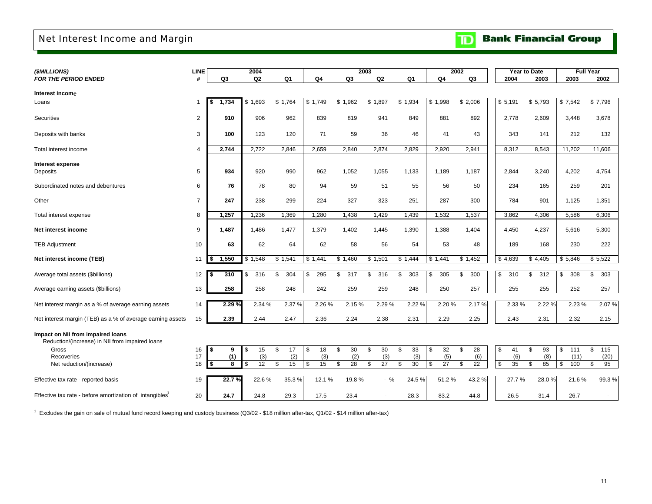## <span id="page-12-0"></span>Net Interest Income and Margin

**TD** Bank Financial Group

| (\$MILLIONS)                                                                         | <b>LINE</b>    |             | 2004                  |                |           |                       | 2003                  |                |                       | 2002                  |           | Year to Date | <b>Full Year</b> |           |
|--------------------------------------------------------------------------------------|----------------|-------------|-----------------------|----------------|-----------|-----------------------|-----------------------|----------------|-----------------------|-----------------------|-----------|--------------|------------------|-----------|
| <b>FOR THE PERIOD ENDED</b>                                                          | #              | Q3          | Q <sub>2</sub>        | Q <sub>1</sub> | Q4        | Q3                    | Q2                    | Q <sub>1</sub> | Q4                    | Q3                    | 2004      | 2003         | 2003             | 2002      |
|                                                                                      |                |             |                       |                |           |                       |                       |                |                       |                       |           |              |                  |           |
| Interest income                                                                      |                |             |                       |                |           |                       |                       |                |                       |                       |           |              |                  |           |
| Loans                                                                                | 1              | 1,734<br>\$ | \$1.693               | \$1.764        | \$1.749   | \$1,962               | \$1,897               | \$1,934        | \$1,998               | \$2,006               | \$5,191   | \$5,793      | \$7,542          | \$7,796   |
| <b>Securities</b>                                                                    | 2              | 910         | 906                   | 962            | 839       | 819                   | 941                   | 849            | 881                   | 892                   | 2,778     | 2,609        | 3,448            | 3,678     |
| Deposits with banks                                                                  | 3              | 100         | 123                   | 120            | 71        | 59                    | 36                    | 46             | 41                    | 43                    | 343       | 141          | 212              | 132       |
| Total interest income                                                                | 4              | 2,744       | 2,722                 | 2,846          | 2,659     | 2,840                 | 2,874                 | 2,829          | 2,920                 | 2,941                 | 8,312     | 8,543        | 11,202           | 11,606    |
| Interest expense<br>Deposits                                                         | 5              | 934         | 920                   | 990            | 962       | 1,052                 | 1,055                 | 1,133          | 1,189                 | 1,187                 | 2,844     | 3,240        | 4,202            | 4,754     |
| Subordinated notes and debentures                                                    | 6              | 76          | 78                    | 80             | 94        | 59                    | 51                    | 55             | 56                    | 50                    | 234       | 165          | 259              | 201       |
| Other                                                                                | $\overline{7}$ | 247         | 238                   | 299            | 224       | 327                   | 323                   | 251            | 287                   | 300                   | 784       | 901          | 1,125            | 1,351     |
| Total interest expense                                                               | 8              | 1,257       | 1,236                 | 1,369          | 1,280     | 1,438                 | 1,429                 | 1,439          | 1,532                 | 1,537                 | 3,862     | 4,306        | 5,586            | 6,306     |
| Net interest income                                                                  | 9              | 1,487       | 1,486                 | 1,477          | 1,379     | 1,402                 | 1,445                 | 1,390          | 1,388                 | 1,404                 | 4,450     | 4,237        | 5,616            | 5,300     |
| <b>TEB Adjustment</b>                                                                | 10             | 63          | 62                    | 64             | 62        | 58                    | 56                    | 54             | 53                    | 48                    | 189       | 168          | 230              | 222       |
| Net interest income (TEB)                                                            | 11             | 1,550       | \$1,548               | \$1,541        | \$1,441   | \$1,460               | \$1,501               | \$1,444        | \$1,441               | \$1,452               | \$4,639   | \$4,405      | \$5,846          | \$5,522   |
| Average total assets (\$billions)                                                    | 12             | 310<br>\$   | 316<br>\$             | 304<br>\$      | 295<br>\$ | 317<br>\$             | 316<br>\$             | 303<br>\$      | 305<br>\$             | 300<br>\$             | 310<br>\$ | 312<br>\$    | 308<br>\$        | 303<br>\$ |
| Average earning assets (\$billions)                                                  | 13             | 258         | 258                   | 248            | 242       | 259                   | 259                   | 248            | 250                   | 257                   | 255       | 255          | 252              | 257       |
| Net interest margin as a % of average earning assets                                 | 14             | 2.29%       | 2.34 %                | 2.37 %         | 2.26 %    | 2.15%                 | 2.29 %                | 2.22 %         | 2.20 %                | 2.17 %                | 2.33%     | 2.22 %       | 2.23 %           | 2.07 %    |
| Net interest margin (TEB) as a % of average earning assets                           | 15             | 2.39        | 2.44                  | 2.47           | 2.36      | 2.24                  | 2.38                  | 2.31           | 2.29                  | 2.25                  | 2.43      | 2.31         | 2.32             | 2.15      |
| Impact on NII from impaired loans<br>Reduction/(increase) in NII from impaired loans |                |             |                       |                |           |                       |                       |                |                       |                       |           |              |                  |           |
| Gross                                                                                | 16             | \$<br>9     | 15<br>\$              | \$<br>17       | 18<br>\$  | 30<br>\$              | \$<br>30              | \$<br>33       | 32<br>\$              | \$<br>28              | \$<br>41  | \$<br>93     | \$<br>111        | \$<br>115 |
| Recoveries                                                                           | 17             | (1)         | (3)                   | (2)            | (3)       | (2)                   | (3)                   | (3)            | (5)                   | (6)                   | (6)       | (8)          | (11)             | (20)      |
| Net reduction/(increase)                                                             | 18             | \$<br>8     | $\overline{12}$<br>\$ | 15<br>\$       | \$<br>15  | $\overline{28}$<br>\$ | $\overline{27}$<br>\$ | 30<br>\$       | $\overline{27}$<br>\$ | $\overline{22}$<br>\$ | 35<br>\$  | \$<br>85     | \$<br>100        | \$<br>95  |
| Effective tax rate - reported basis                                                  | 19             | 22.7%       | 22.6%                 | 35.3%          | 12.1 %    | 19.8%                 | $-$ %                 | 24.5%          | 51.2%                 | 43.2 %                | 27.7%     | 28.0%        | 21.6%            | 99.3%     |
| Effective tax rate - before amortization of intangibles <sup>1</sup>                 | 20             | 24.7        | 24.8                  | 29.3           | 17.5      | 23.4                  |                       | 28.3           | 83.2                  | 44.8                  | 26.5      | 31.4         | 26.7             |           |

 $1$  Excludes the gain on sale of mutual fund record keeping and custody business (Q3/02 - \$18 million after-tax, Q1/02 - \$14 million after-tax)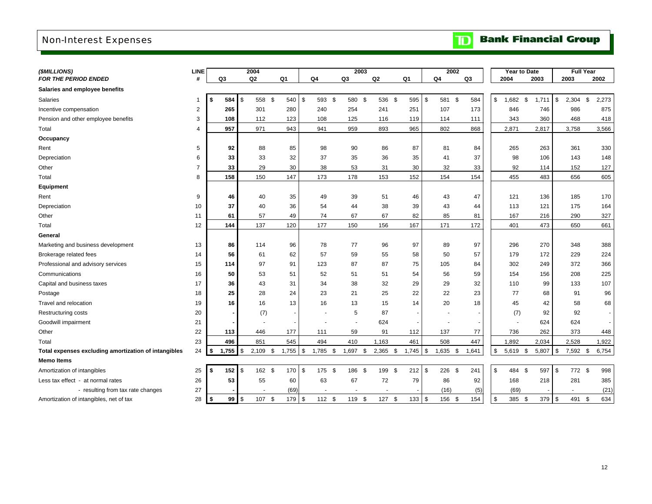## <span id="page-13-0"></span>Non-Interest Expenses

| <b>The Bank Financial Group</b> |
|---------------------------------|
|---------------------------------|

| (\$MILLIONS)                                         | <b>LINE</b>    |                    |            | 2004           |            |            |          |    | 2003     |                |     |                | 2002             |                | Year to Date     |      |        |      | <b>Full Year</b> |       |
|------------------------------------------------------|----------------|--------------------|------------|----------------|------------|------------|----------|----|----------|----------------|-----|----------------|------------------|----------------|------------------|------|--------|------|------------------|-------|
| FOR THE PERIOD ENDED                                 | #              | Q <sub>3</sub>     |            | Q <sub>2</sub> | Q1         |            | Q4       | Q3 |          | Q <sub>2</sub> |     | Q <sub>1</sub> | Q4               | Q <sub>3</sub> | 2004             | 2003 |        | 2003 |                  | 2002  |
| Salaries and employee benefits                       |                |                    |            |                |            |            |          |    |          |                |     |                |                  |                |                  |      |        |      |                  |       |
| Salaries                                             | $\mathbf 1$    | 584                | <b>S</b>   | 558 \$         | 540        | $\sqrt{3}$ | 593 \$   |    | 580 \$   | 536 \$         |     | 595            | \$<br>581 \$     | 584            | \$<br>1,682 \$   |      | 1,711  | \$   | $2,304$ \$       | 2,273 |
| Incentive compensation                               | $\overline{2}$ | 265                |            | 301            | 280        |            | 240      |    | 254      | 241            |     | 251            | 107              | 173            | 846              |      | 746    |      | 986              | 875   |
| Pension and other employee benefits                  | 3              | 108                |            | 112            | 123        |            | 108      |    | 125      | 116            |     | 119            | 114              | 111            | 343              |      | 360    |      | 468              | 418   |
| Total                                                | 4              | 957                |            | 971            | 943        |            | 941      |    | 959      | 893            |     | 965            | 802              | 868            | 2,871            |      | 2,817  |      | 3,758            | 3,566 |
| Occupancy                                            |                |                    |            |                |            |            |          |    |          |                |     |                |                  |                |                  |      |        |      |                  |       |
| Rent                                                 | 5              | 92                 |            | 88             | 85         |            | 98       |    | 90       | 86             |     | 87             | 81               | 84             | 265              |      | 263    |      | 361              | 330   |
| Depreciation                                         | 6              | 33                 |            | 33             | 32         |            | 37       |    | 35       | 36             |     | 35             | 41               | 37             | 98               |      | 106    |      | 143              | 148   |
| Other                                                | $\overline{7}$ | 33                 |            | 29             | 30         |            | 38       |    | 53       | 31             |     | 30             | 32               | 33             | 92               |      | 114    |      | 152              | 127   |
| Total                                                | 8              | 158                |            | 150            | 147        |            | 173      |    | 178      | 153            |     | 152            | 154              | 154            | 455              |      | 483    |      | 656              | 605   |
| Equipment                                            |                |                    |            |                |            |            |          |    |          |                |     |                |                  |                |                  |      |        |      |                  |       |
| Rent                                                 | 9              | 46                 |            | 40             | 35         |            | 49       |    | 39       | 51             |     | 46             | 43               | 47             | 121              |      | 136    |      | 185              | 170   |
| Depreciation                                         | 10             | 37                 |            | 40             | 36         |            | 54       |    | 44       | 38             |     | 39             | 43               | 44             | 113              |      | 121    |      | 175              | 164   |
| Other                                                | 11             | 61                 |            | 57             | 49         |            | 74       |    | 67       | 67             |     | 82             | 85               | 81             | 167              |      | 216    |      | 290              | 327   |
| Total                                                | 12             | 144                |            | 137            | 120        |            | 177      |    | 150      | 156            |     | 167            | 171              | 172            | 401              |      | 473    |      | 650              | 661   |
| General                                              |                |                    |            |                |            |            |          |    |          |                |     |                |                  |                |                  |      |        |      |                  |       |
| Marketing and business development                   | 13             | 86                 |            | 114            | 96         |            | 78       |    | 77       | 96             |     | 97             | 89               | 97             | 296              |      | 270    |      | 348              | 388   |
| Brokerage related fees                               | 14             | 56                 |            | 61             | 62         |            | 57       |    | 59       | 55             |     | 58             | 50               | 57             | 179              |      | 172    |      | 229              | 224   |
| Professional and advisory services                   | 15             | 114                |            | 97             | 91         |            | 123      |    | 87       | 87             |     | 75             | 105              | 84             | 302              |      | 249    |      | 372              | 366   |
| Communications                                       | 16             | 50                 |            | 53             | 51         |            | 52       |    | 51       | 51             |     | 54             | 56               | 59             | 154              |      | 156    |      | 208              | 225   |
| Capital and business taxes                           | 17             | 36                 |            | 43             | 31         |            | 34       |    | 38       | 32             |     | 29             | 29               | 32             | 110              |      | 99     |      | 133              | 107   |
| Postage                                              | 18             | 25                 |            | 28             | 24         |            | 23       |    | 21       | 25             |     | 22             | 22               | 23             | 77               |      | 68     |      | 91               | 96    |
| Travel and relocation                                | 19             | 16                 |            | 16             | 13         |            | 16       |    | 13       | 15             |     | 14             | 20               | 18             | 45               |      | 42     |      | 58               | 68    |
| Restructuring costs                                  | 20             |                    |            | (7)            |            |            |          |    | 5        | 87             |     |                |                  |                | (7)              |      | 92     |      | 92               |       |
| Goodwill impairment                                  | 21             |                    |            |                |            |            |          |    |          | 624            |     |                |                  |                |                  |      | 624    |      | 624              |       |
| Other                                                | 22             | 113                |            | 446            | 177        |            | 111      |    | 59       | 91             |     | 112            | 137              | 77             | 736              |      | 262    |      | 373              | 448   |
| Total                                                | 23             | 496                |            | 851            | 545        |            | 494      |    | 410      | 1,163          |     | 461            | 508              | 447            | 1,892            |      | 2,034  |      | 2,528            | 1,922 |
| Total expenses excluding amortization of intangibles | 24             | 1,755<br>l \$      | $\sqrt{3}$ | $2,109$ \$     | $1,755$ \$ |            | 1,785 \$ |    | 1,697 \$ | $2,365$ \$     |     | 1,745          | \$<br>$1,635$ \$ | 1,641          | \$<br>$5,619$ \$ |      | 5,807  | \$   | 7,592 \$         | 6,754 |
| <b>Memo Items</b>                                    |                |                    |            |                |            |            |          |    |          |                |     |                |                  |                |                  |      |        |      |                  |       |
| Amortization of intangibles                          | 25             | 152<br>\$          | l \$       | 162 \$         | 170        | <b>\$</b>  | 175 \$   |    | 186 \$   | 199            | -\$ | 212            | \$<br>226<br>-\$ | 241            | \$<br>484<br>\$  |      | 597    | \$   | 772 \$           | 998   |
| Less tax effect - at normal rates                    | 26             | 53                 |            | 55             | 60         |            | 63       |    | 67       | 72             |     | 79             | 86               | 92             | 168              |      | 218    |      | 281              | 385   |
| - resulting from tax rate changes                    | 27             |                    |            |                | (69)       |            |          |    |          |                |     |                | (16)             | (5)            | (69)             |      |        |      |                  | (21)  |
| Amortization of intangibles, net of tax              | 28             | $99$ \ $$$<br>l \$ |            | 107 \$         |            | 179 \$     | 112 \$   |    | 119 \$   | 127 \$         |     | 133            | \$<br>156 \$     | 154            | \$<br>385<br>\$  |      | 379 \$ |      | 491 \$           | 634   |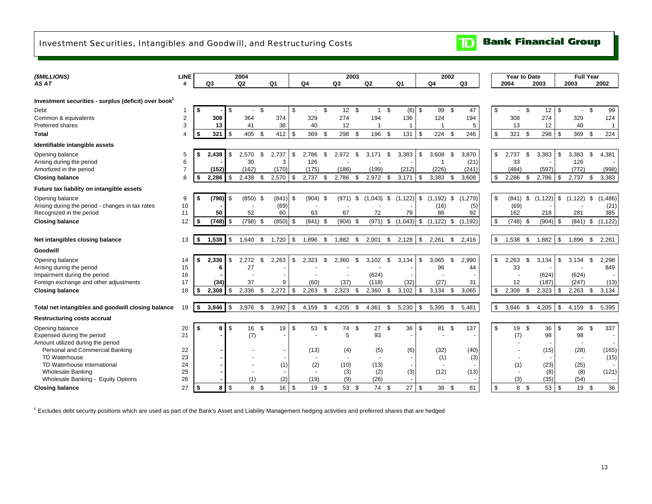## <span id="page-14-0"></span>Investment Securities, Intangibles and Goodwill, and Restructuring Costs

| (\$MILLIONS)                                                     | LINE           |             |                | 2004           |          |       |            |                |      |                          | 2003               |                          |          |                          |      | 2002                     |     |                |    | <b>Year to Date</b> |                |            |                | <b>Full Year</b>         |      |                |
|------------------------------------------------------------------|----------------|-------------|----------------|----------------|----------|-------|------------|----------------|------|--------------------------|--------------------|--------------------------|----------|--------------------------|------|--------------------------|-----|----------------|----|---------------------|----------------|------------|----------------|--------------------------|------|----------------|
| AS AT                                                            | #              | Q3          |                | Q <sub>2</sub> |          | Q1    |            | Q4             |      | Q <sub>3</sub>           |                    | Q2                       |          | Q1                       |      | Q4                       |     | Q <sub>3</sub> |    | 2004                |                | 2003       |                | 2003                     |      | 2002           |
|                                                                  |                |             |                |                |          |       |            |                |      |                          |                    |                          |          |                          |      |                          |     |                |    |                     |                |            |                |                          |      |                |
| Investment securities - surplus (deficit) over book <sup>1</sup> |                |             |                |                |          |       |            |                |      |                          |                    |                          |          |                          |      |                          |     |                |    |                     |                |            |                |                          |      |                |
| Debt                                                             | -1             | \$          | \$             | $\sim$         | -\$      |       | \$         | $\sim$         | \$   | 12                       | $\mathbf{\hat{s}}$ | $\mathbf{1}$             | -\$      | (6)                      | \$   | 99                       | \$  | 47             | \$ | $\sim$              | \$             | 12         | - \$           |                          | \$   | 99             |
| Common & equivalents                                             | $\overline{2}$ | 308         |                | 364            |          | 374   |            | 329            |      | 274                      |                    | 194                      |          | 136                      |      | 124                      |     | 194            |    | 308                 |                | 274        |                | 329                      |      | 124            |
| Preferred shares                                                 | 3              | 13          |                | 41             |          | 38    |            | 40             |      | 12                       |                    | -1                       |          | -1                       |      | -1                       |     | 5              |    | 13                  |                | 12         |                | 40                       |      | $\overline{1}$ |
| Total                                                            | 4              | \$<br>321   | \$             | 405            | - \$     | 412   | l \$       | 369            | \$   | 298                      | \$                 | 196                      | - \$     | 131                      | \$   | 224                      | \$  | 246            | \$ | 321                 | $\mathfrak{S}$ | 298        | - \$           | 369                      | \$   | 224            |
| Identifiable intangible assets                                   |                |             |                |                |          |       |            |                |      |                          |                    |                          |          |                          |      |                          |     |                |    |                     |                |            |                |                          |      |                |
| Opening balance                                                  | 5              | \$<br>2,438 | \$             | 2,570          | \$       | 2,737 | $\sqrt{3}$ | 2,786          | -S   | 2,972                    | \$                 | 3,171                    | - \$     | 3,383                    | \$   | 3,608                    | -\$ | 3,870          | \$ | 2,737               | \$             | 3,383      | $\mathfrak{L}$ | 3,383                    | \$.  | 4,381          |
| Arising during the period                                        | 6              |             |                | 30             |          | 3     |            | 126            |      |                          |                    |                          |          |                          |      | $\mathbf{1}$             |     | (21)           |    | 33                  |                |            |                | 126                      |      |                |
| Amortized in the period                                          | $\overline{7}$ | (152)       |                | (162)          |          | (170) |            | (175)          |      | (186)                    |                    | (199)                    |          | (212)                    |      | (226)                    |     | (241)          |    | (484)               |                | (597)      |                | (772)                    |      | (998)          |
| <b>Closing balance</b>                                           | 8              | \$<br>2.286 | \$             | 2,438          | \$       | 2,570 | \$         | 2,737          | \$   | 2,786                    | \$                 | 2,972                    | <b>S</b> | 3,171                    | \$   | 3,383                    | \$  | 3,608          | \$ | 2,286               | - \$           | 2,786      | \$             | 2,737                    | \$   | 3,383          |
| Future tax liability on intangible assets                        |                |             |                |                |          |       |            |                |      |                          |                    |                          |          |                          |      |                          |     |                |    |                     |                |            |                |                          |      |                |
| Opening balance                                                  | 9              | \$<br>(798) | <b>S</b>       | $(850)$ \$     |          | (841) | l \$       | $(904)$ \$     |      | (971)                    | \$                 | (1,043)                  | \$       | (1, 122)                 | \$   | (1, 192)                 | \$  | ,279)<br>(1)   | \$ | (841)               | \$             | (1, 122)   | \$             | (1, 122)                 | \$   | (1, 486)       |
| Arising during the period - changes in tax rates                 | 10             |             |                |                |          | (69)  |            |                |      |                          |                    |                          |          |                          |      | (16)                     |     | (5)            |    | (69)                |                |            |                |                          |      | (21)           |
| Recognized in the period                                         | 11             | 50          |                | 52             |          | 60    |            | 63             |      | 67                       |                    | 72                       |          | 79                       |      | 86                       |     | 92             |    | 162                 |                | 218        |                | 281                      |      | 385            |
| <b>Closing balance</b>                                           | 12             | \$<br>(748) | l \$           | (798)          | <b>S</b> | (850) | l \$       | (841)          | \$   | $(904)$ \$               |                    | (971)                    | \$       | (1,043)                  | \$   | (1, 122)                 | \$  | (1, 192)       | \$ | $(748)$ \$          |                | $(904)$ \$ |                | (841)                    | \$   | (1, 122)       |
|                                                                  |                |             |                |                |          |       |            |                |      |                          |                    |                          |          |                          |      |                          |     |                |    |                     |                |            |                |                          |      |                |
| Net intangibles closing balance                                  | 13             | \$<br>1,538 | <b>S</b>       | 1,640          | - \$     | 1,720 | <b>S</b>   | 1,896          | - \$ | 1,882                    | \$                 | 2,001                    | - \$     | 2,128                    | - \$ | 2,261                    | \$  | 2,416          | \$ | 1,538               | - \$           | 1,882      | <b>S</b>       | 1.896                    | \$   | 2,261          |
| Goodwill                                                         |                |             |                |                |          |       |            |                |      |                          |                    |                          |          |                          |      |                          |     |                |    |                     |                |            |                |                          |      |                |
| Opening balance                                                  | 14             | \$<br>2,336 | -\$            | 2,272          | \$       | 2,263 | -\$        | 2,323          | \$   | 2,360                    | \$                 | 3,102                    | \$       | 3,134                    | \$   | 3,065                    | \$  | 2,990          | \$ | 2,263               | \$             | 3,134      | \$             | 3,134                    | \$   | 2,298          |
| Arising during the period                                        | 15             | 6           |                | 27             |          |       |            |                |      |                          |                    |                          |          |                          |      | 96                       |     | 44             |    | 33                  |                |            |                |                          |      | 849            |
| Impairment during the period                                     | 16             |             |                |                |          |       |            |                |      |                          |                    | (624)                    |          |                          |      |                          |     |                |    |                     |                | (624)      |                | (624)                    |      |                |
| Foreign exchange and other adjustments                           | 17             | (34)        |                | 37             |          | 9     |            | (60)           |      | (37)                     |                    | (118)                    |          | (32)                     |      | (27)                     |     | 31             |    | 12                  |                | (187)      |                | (247)                    |      | (13)           |
| <b>Closing balance</b>                                           | 18             | \$<br>2,308 | \$             | 2,336          | - \$     | 2,272 | l \$       | 2,263          | - \$ | $2,323$ \$               |                    | 2,360                    | - \$     | 3,102                    | \$   | 3,134                    | \$  | 3.065          | \$ | 2.308               | - \$           | 2,323      | l \$           | 2,263                    | \$   | 3,134          |
|                                                                  |                |             |                |                |          |       |            |                |      |                          |                    |                          |          |                          |      |                          |     |                |    |                     |                |            |                |                          |      |                |
| Total net intangibles and goodwill closing balance               | 19             | \$<br>3,846 | $\mathfrak{s}$ | 3,976          | \$       | 3,992 | $\sqrt{3}$ | 4,159          | \$   | 4,205                    | \$                 | 4,361                    | \$       | 5,230                    | \$   | 5,395                    | \$  | 5.481          | \$ | 3,846               | - \$           | 4,205      | <b>\$</b>      | 4,159                    | \$   | 5,395          |
| <b>Restructuring costs accrual</b>                               |                |             |                |                |          |       |            |                |      |                          |                    |                          |          |                          |      |                          |     |                |    |                     |                |            |                |                          |      |                |
| Opening balance                                                  | 20             | \$<br>8     | $\sqrt{3}$     | 16 \$          |          | 19    | l \$       | 53             | -\$  | 74                       | \$                 | 27                       | <b>S</b> | 36                       | \$   | 81                       | \$  | 137            | \$ | 19                  | \$             | 36         | l \$           | 36                       | \$   | 337            |
| Expensed during the period                                       | 21             |             |                | (7)            |          |       |            |                |      | 5                        |                    | 93                       |          | $\blacksquare$           |      | $\blacksquare$           |     |                |    | (7)                 |                | 98         |                | 98                       |      |                |
| Amount utilized during the period                                |                |             |                |                |          |       |            |                |      |                          |                    |                          |          |                          |      |                          |     |                |    |                     |                |            |                | $\blacksquare$           |      |                |
| Personal and Commercial Banking                                  | 22             |             |                |                |          |       |            | (13)           |      | (4)                      |                    | (5)                      |          | (6)                      |      | (32)                     |     | (40)           |    |                     |                | (15)       |                | (28)                     |      | (165)          |
| <b>TD Waterhouse</b>                                             | 23             |             |                |                |          |       |            | $\blacksquare$ |      | $\overline{\phantom{a}}$ |                    | $\overline{\phantom{a}}$ |          | $\sim$                   |      | (1)                      |     | (3)            |    |                     |                |            |                | $\overline{\phantom{a}}$ |      | (15)           |
| TD Waterhouse International                                      | 24             |             |                |                |          | (1)   |            | (2)            |      | (10)                     |                    | (13)                     |          | $\overline{\phantom{a}}$ |      | $\overline{\phantom{a}}$ |     |                |    | (1)                 |                | (23)       |                | (25)                     |      |                |
| <b>Wholesale Banking</b>                                         | 25             |             |                |                |          |       |            |                |      | (3)                      |                    | (2)                      |          | (3)                      |      | (12)                     |     | (13)           |    | $\blacksquare$      |                | (8)        |                | (8)                      |      | (121)          |
| Wholesale Banking - Equity Options                               | 26             |             |                | (1)            |          | (2)   |            | (19)           |      | (9)                      |                    | (26)                     |          |                          |      | $\blacksquare$           |     |                |    | (3)                 |                | (35)       |                | (54)                     |      |                |
| <b>Closing balance</b>                                           | 27             | \$<br>8     | $\sqrt{3}$     | 8              | -\$      | 16    | <b>S</b>   | 19             | - \$ | 53                       | - \$               | 74                       | - \$     | 27                       | \$   | 36                       | \$  | 81             | \$ | 8                   | \$             | 53         | l \$           | 19                       | - \$ | 36             |

 $\mathbf{D}$ 

**Bank Financial Group** 

<sup>1</sup> Excludes debt security positions which are used as part of the Bank's Asset and Liability Management hedging activities and preferred shares that are hedged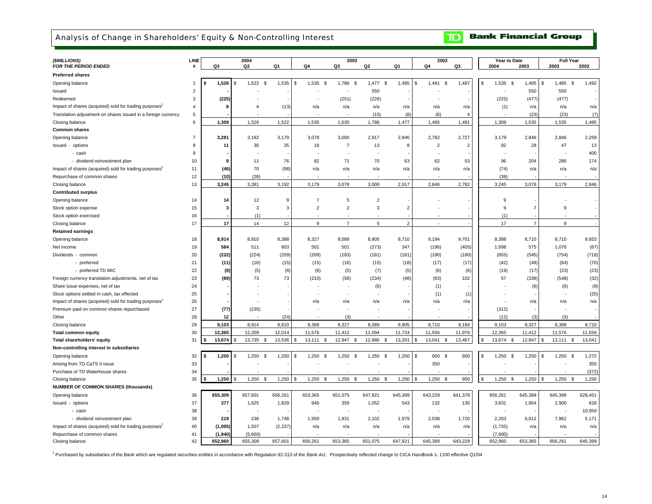## <span id="page-15-0"></span>Analysis of Change in Shareholders' Equity & Non-Controlling Interest

#### **Bank Financial Group**  $\mathbf{D}$

| (\$MILLIONS)<br>FOR THE PERIOD ENDED                               | LINE           | Q3          | 2004<br>Q <sub>2</sub> | Q1       | Q4                 | 2003<br>Q3               | Q2             | Q1             | 2002<br>Q4                     | Q3                     |    | Year to Date<br>2004 | 2003           | <b>Full Year</b><br>2003 | 2002                 |
|--------------------------------------------------------------------|----------------|-------------|------------------------|----------|--------------------|--------------------------|----------------|----------------|--------------------------------|------------------------|----|----------------------|----------------|--------------------------|----------------------|
| <b>Preferred shares</b>                                            |                |             |                        |          |                    |                          |                |                |                                |                        |    |                      |                |                          |                      |
| Opening balance                                                    | $\mathbf{1}$   | 1,526       | $1,522$ \$<br>\$       | 1,535    | 1,535<br>-S<br>-\$ | 1,786<br>- \$            | 1,477<br>\$    | 1,485          | 1,491<br>$\mathfrak s$<br>- \$ | 1,487                  | £  | 1,535<br>-\$         | 1,485          | 1,485<br>\$              | 1,492<br>\$          |
| Issued                                                             | $\overline{2}$ |             |                        |          |                    |                          | 550            |                |                                |                        |    |                      | 550            | 550                      |                      |
| Redeemed                                                           | 3              | (225)       |                        |          |                    | (251)                    | (226)          |                |                                |                        |    | (225)                | (477)          | (477)                    |                      |
| Impact of shares (acquired) sold for trading purposes              | 4              | 8           | $\overline{4}$         | (13)     | n/a                | n/a                      | n/a            | n/a            | n/a                            | n/a                    |    | (1)                  | n/a            | n/a                      | n/a                  |
| Translation adjustment on shares issued in a foreign currency      | 5              |             |                        |          |                    |                          | (15)           | (8)            | (6)                            | $\boldsymbol{\Lambda}$ |    |                      | (23)           | (23)                     | (7)                  |
| Closing balance                                                    | 6              | 1,309       | 1,526                  | 1,522    | 1,535              | 1,535                    | 1,786          | 1,477          | 1,485                          | 1,491                  |    | 1,309                | 1,535          | 1,535                    | 1,485                |
| <b>Common shares</b>                                               |                |             |                        |          |                    |                          |                |                |                                |                        |    |                      |                |                          |                      |
| Opening balance                                                    | $\overline{7}$ | 3,281       | 3,192                  | 3,179    | 3,078              | 3,000                    | 2,917          | 2,846          | 2,782                          | 2,727                  |    | 3,179                | 2,846          | 2,846                    | 2,259                |
| Issued - options                                                   | 8              | 11          | 36                     | 35       | 19                 | $\overline{7}$           | 13             | 8              | $\overline{2}$                 | 2                      |    | 82                   | 28             | 47                       | 13                   |
| - cash                                                             | 9              |             |                        |          |                    |                          |                |                |                                |                        |    |                      |                |                          | 400                  |
| - dividend reinvestment plan                                       | 10             | 9           | 11                     | 76       | 82                 | 71                       | 70             | 63             | 62                             | 53                     |    | 96                   | 204            | 286                      | 174                  |
| Impact of shares (acquired) sold for trading purposes <sup>1</sup> | 11             | (46)        | 70                     | (98)     | n/a                | n/a                      | n/a            | n/a            | n/a                            | n/a                    |    | (74)                 | n/a            | n/a                      | n/a                  |
| Repurchase of common shares                                        | 12             | (10)        | (28)                   |          |                    |                          |                |                |                                |                        |    | (38)                 |                |                          |                      |
| Closing balance                                                    | 13             | 3,245       | 3,281                  | 3,192    | 3,179              | 3,078                    | 3,000          | 2,917          | 2,846                          | 2,782                  |    | 3,245                | 3,078          | 3,179                    | 2,846                |
| <b>Contributed surplus</b>                                         |                |             |                        |          |                    |                          |                |                |                                |                        |    |                      |                |                          |                      |
| Opening balance                                                    | 14             | 14          | 12                     | 9        | $\overline{7}$     | 5                        | $\overline{2}$ |                |                                |                        |    | 9                    |                |                          |                      |
| Stock option expense                                               | 15             | 3           | $\mathbf{3}$           | 3        | $\overline{2}$     | $\overline{c}$           | $\sqrt{3}$     | $\overline{2}$ |                                |                        |    | 9                    | $\overline{7}$ | 9                        |                      |
| Stock option exercised                                             | 16             |             | (1)                    |          |                    |                          |                |                |                                |                        |    | (1)                  |                |                          |                      |
| Closing balance                                                    | 17             | 17          | 14                     | 12       | 9                  | $\overline{7}$           | 5              | $\overline{2}$ | $\overline{a}$                 |                        |    | 17                   | $\overline{7}$ | 9                        |                      |
| <b>Retained earnings</b>                                           |                |             |                        |          |                    |                          |                |                |                                |                        |    |                      |                |                          |                      |
| Opening balance                                                    | 18             | 8,914       | 8,810                  | 8,388    | 8,327              | 8,089                    | 8,805          | 8,710          | 9,194                          | 9,701                  |    | 8,388                | 8,710          | 8,710                    | 9,653                |
| Net income                                                         | 19             | 584         | 511                    | 603      | 501                | 501                      | (273)          | 347            | (196)                          | (405)                  |    | 1,698                | 575            | 1,076                    | (67)                 |
| Dividends - common                                                 | 20             | (222)       | (224)                  | (209)    | (209)              | (183)                    | (181)          | (181)          | (180)                          | (180)                  |    | (655)                | (545)          | (754)                    | (718)                |
| - preferred                                                        | 21             | (11)        | (16)                   | (15)     | (15)               | (16)                     | (15)           | (18)           | (17)                           | (17)                   |    | (42)                 | (49)           | (64)                     | (70)                 |
| - preferred TD MIC                                                 | 22             | (8)         | (5)                    | (6)      | (6)                | (5)                      | (7)            | (5)            | (6)                            | (6)                    |    | (19)                 | (17)           | (23)                     | (23)                 |
| Foreign currency translation adjustments, net of tax               | 23             | (89)        | 73                     | 73       | (210)              | (56)                     | (234)          | (48)           | (83)                           | 102                    |    | 57                   | (338)          | (548)                    | (32)                 |
| Share issue expenses, net of tax                                   | 24             |             |                        |          | ٠                  | $\overline{a}$           | (6)            |                | (1)                            |                        |    |                      | (6)            | (6)                      | (8)                  |
| Stock options settled in cash, tax effected                        | 25             |             |                        |          |                    | $\overline{\phantom{a}}$ |                |                | (1)                            | (1)                    |    |                      |                |                          | (25)                 |
| Impact of shares (acquired) sold for trading purposes <sup>1</sup> | 26             |             |                        |          | n/a                | n/a                      | n/a            | n/a            | n/a                            | n/a                    |    |                      | n/a            | n/a                      | n/a                  |
| Premium paid on common shares repurchased                          | 27             | (77)        | (235)                  |          |                    |                          |                |                |                                |                        |    | (312)                |                |                          |                      |
| Other                                                              | 28             | 12          |                        | (24)     |                    | (3)                      |                |                |                                |                        |    | (12)                 | (3)            | (3)                      |                      |
|                                                                    | 29             | 9,103       | 8,914                  | 8,810    | 8,388              | 8,327                    | 8,089          | 8,805          |                                | 9,194                  |    | 9,103                | 8,327          | 8,388                    | 8,710                |
| Closing balance                                                    | 30             | 12,365      | 12,209                 | 12.014   | 11,576             | 11,412                   | 11.094         | 11,724         | 8,710<br>11,556                | 11,976                 |    | 12,365               | 11,412         | 11,576                   | 11,556               |
| <b>Total common equity</b><br>Total shareholders' equity           | 31             | 13,674      | 13,735<br>\$           | 13,536   | 13,111<br>-S       | 12,947<br>- \$           | 12,880<br>\$.  | 13,201         | 13,041 \$<br>\$                | 13,467                 |    | 13,674 \$            | 12,947         | $13,111$ \$<br>\$        | 13,041               |
| Non-controlling interest in subsidiaries                           |                |             |                        |          |                    |                          |                |                |                                |                        |    |                      |                |                          |                      |
|                                                                    | 32             | 1,250<br>\$ | 1,250                  | 1,250    | 1,250<br>-S        | 1,250                    | 1,250          | 1,250          | 900 \$                         | 900                    | £. | 1,250                | 1,250          | 1,250<br>\$              | 1,272                |
| Opening balance                                                    |                |             | -\$<br>\$              |          | - SS               | - \$                     | -\$            |                | - \$                           |                        |    | - \$                 |                |                          | - \$                 |
| Arising from TD CaTS II issue                                      | 33             |             |                        |          |                    |                          |                |                | 350                            |                        |    |                      |                |                          | 350                  |
| Purchase of TD Waterhouse shares                                   | 34<br>35       | 1,250       | 1,250<br><b>S</b>      | 1,250    | 1,250<br><b>S</b>  | 1,250<br><sup>S</sup>    | 1,250<br>\$    | 1,250          | 1,250<br><b>S</b><br>\$        | 900                    |    | 1,250<br><b>S</b>    | 1,250          | 1,250<br>\$              | (372)<br>\$<br>1,250 |
| Closing balance                                                    |                |             |                        |          |                    |                          |                |                |                                |                        |    |                      |                |                          |                      |
| <b>NUMBER OF COMMON SHARES (thousands)</b>                         |                |             |                        |          |                    |                          |                |                |                                |                        |    |                      |                |                          |                      |
| Opening balance                                                    | 36             | 655,309     | 657,601                | 656,261  | 653,365            | 651,075                  | 647,921        | 645,399        | 643,229                        | 641,379                |    | 656,261              | 645,399        | 645,399                  | 628,451              |
| Issued - options                                                   | 37             | 377         | 1,625                  | 1,829    | 946                | 359                      | 1,052          | 543            | 132                            | 130                    |    | 3,831                | 1,954          | 2,900                    | 818                  |
| - cash                                                             | 38             |             | ÷                      |          |                    | ٠.                       |                |                |                                |                        |    |                      |                |                          | 10,959               |
| - dividend reinvestment plan                                       | 39             | 219         | 236                    | 1,748    | 1,950              | 1,931                    | 2,102          | 1,979          | 2,038                          | 1,720                  |    | 2,203                | 6,012          | 7,962                    | 5,171                |
| Impact of shares (acquired) sold for trading purposes <sup>1</sup> | 40             | (1,005)     | 1,507                  | (2, 237) | n/a                | n/a                      | n/a            | n/a            | n/a                            | n/a                    |    | (1,735)              | n/a            | n/a                      | n/a                  |
| Repurchase of common shares                                        | 41             | (1,940)     | (5,660)                |          |                    |                          |                |                |                                |                        |    | (7,600)              |                |                          |                      |
| Closing balance                                                    | 42             | 652.960     | 655.309                | 657.601  | 656.261            | 653.365                  | 651.075        | 647.921        | 645.399                        | 643.229                |    | 652.960              | 653.365        | 656.261                  | 645.399              |

1 Purchased by subsidiaries of the Bank which are regulated securities entities in accordance with Regulation 92-313 of the *Bank Act* . Prospectively reflected change to CICA Handbook s. 1100 effective Q1/04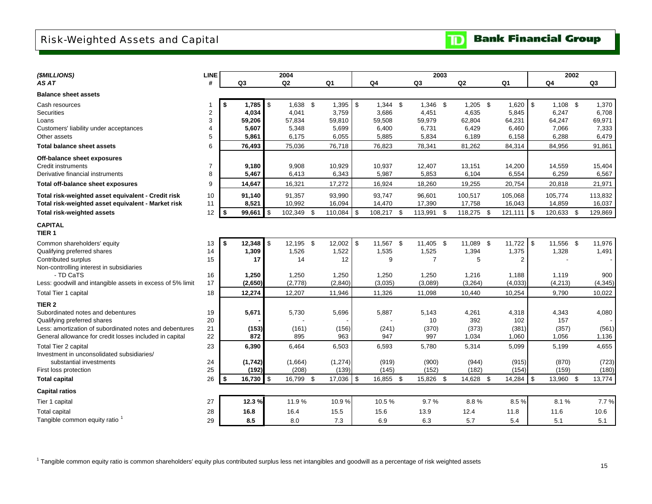## <span id="page-16-0"></span>Risk-Weighted Assets and Capital

| (\$MILLIONS)                                                          | <b>LINE</b>    |                   | 2004           |            |          |      |            |                | 2003 |                |                |     | 2002           |          |
|-----------------------------------------------------------------------|----------------|-------------------|----------------|------------|----------|------|------------|----------------|------|----------------|----------------|-----|----------------|----------|
| AS AT                                                                 | #              | Q3                | Q <sub>2</sub> |            | Q1       |      | Q4         | Q3             |      | Q <sub>2</sub> | Q1             |     | Q <sub>4</sub> | Q3       |
| <b>Balance sheet assets</b>                                           |                |                   |                |            |          |      |            |                |      |                |                |     |                |          |
| Cash resources                                                        |                | 1.785             | $\mathbf{s}$   | $1,638$ \$ | 1,395    | l \$ | $1,344$ \$ | $1,346$ \$     |      | $1,205$ \$     | 1,620          | \$  | $1.108$ \$     | 1,370    |
| Securities                                                            | $\overline{2}$ | 4,034             |                | 4,041      | 3,759    |      | 3,686      | 4,451          |      | 4,635          | 5,845          |     | 6,247          | 6,708    |
| Loans                                                                 | 3              | 59.206            |                | 57,834     | 59,810   |      | 59,508     | 59,979         |      | 62,804         | 64,231         |     | 64,247         | 69,971   |
| Customers' liability under acceptances                                | 4              | 5,607             |                | 5,348      | 5,699    |      | 6,400      | 6,731          |      | 6,429          | 6,460          |     | 7,066          | 7,333    |
| Other assets                                                          | 5              | 5,861             |                | 6,175      | 6,055    |      | 5,885      | 5,834          |      | 6,189          | 6,158          |     | 6,288          | 6,479    |
| Total balance sheet assets                                            | 6              | 76,493            |                | 75,036     | 76,718   |      | 76,823     | 78,341         |      | 81,262         | 84,314         |     | 84,956         | 91,861   |
| Off-balance sheet exposures                                           |                |                   |                |            |          |      |            |                |      |                |                |     |                |          |
| Credit instruments                                                    | $\overline{7}$ | 9,180             |                | 9,908      | 10,929   |      | 10,937     | 12,407         |      | 13,151         | 14,200         |     | 14,559         | 15,404   |
| Derivative financial instruments                                      | 8              | 5,467             |                | 6,413      | 6,343    |      | 5,987      | 5,853          |      | 6,104          | 6,554          |     | 6,259          | 6,567    |
| Total off-balance sheet exposures                                     | 9              | 14,647            |                | 16,321     | 17,272   |      | 16,924     | 18,260         |      | 19,255         | 20,754         |     | 20,818         | 21,971   |
| Total risk-weighted asset equivalent - Credit risk                    | 10             | 91,140            |                | 91,357     | 93,990   |      | 93,747     | 96,601         |      | 100,517        | 105,068        |     | 105,774        | 113,832  |
| Total risk-weighted asset equivalent - Market risk                    | 11             | 8,521             |                | 10,992     | 16,094   |      | 14,470     | 17,390         |      | 17,758         | 16,043         |     | 14,859         | 16,037   |
| <b>Total risk-weighted assets</b>                                     | 12             | \$<br>99,661      | \$             | 102,349 \$ | 110,084  | l \$ | 108,217 \$ | 113,991 \$     |      | 118,275 \$     | 121,111        | -\$ | 120,633 \$     | 129,869  |
| <b>CAPITAL</b><br>TIER <sub>1</sub>                                   |                |                   |                |            |          |      |            |                |      |                |                |     |                |          |
| Common shareholders' equity                                           | 13             | \$<br>12,348      | \$             | 12,195 \$  | 12,002   | l \$ | 11,567 \$  | 11,405 \$      |      | 11,089 \$      | 11,722         | \$  | 11,556 \$      | 11,976   |
| Qualifying preferred shares                                           | 14             | 1,309             |                | 1,526      | 1,522    |      | 1,535      | 1,525          |      | 1,394          | 1,375          |     | 1,328          | 1,491    |
| Contributed surplus                                                   | 15             | 17                |                | 14         | 12       |      | 9          | $\overline{7}$ |      | 5              | $\overline{2}$ |     |                |          |
| Non-controlling interest in subsidiaries                              |                |                   |                |            |          |      |            |                |      |                |                |     |                |          |
| - TD CaTS                                                             | 16             | 1,250             |                | 1,250      | 1,250    |      | 1,250      | 1,250          |      | 1,216          | 1,188          |     | 1,119          | 900      |
| Less: goodwill and intangible assets in excess of 5% limit            | 17             | (2,650)           |                | (2,778)    | (2,840)  |      | (3,035)    | (3,089)        |      | (3,264)        | (4,033)        |     | (4,213)        | (4, 345) |
| Total Tier 1 capital                                                  | 18             | 12,274            |                | 12,207     | 11,946   |      | 11,326     | 11,098         |      | 10,440         | 10,254         |     | 9,790          | 10,022   |
| TIER <sub>2</sub>                                                     |                |                   |                |            |          |      |            |                |      |                |                |     |                |          |
| Subordinated notes and debentures                                     | 19             | 5,671             |                | 5,730      | 5,696    |      | 5,887      | 5,143          |      | 4,261          | 4,318          |     | 4,343          | 4,080    |
| Qualifying preferred shares                                           | 20             |                   |                |            |          |      |            | 10             |      | 392            | 102            |     | 157            |          |
| Less: amortization of subordinated notes and debentures               | 21             | (153)             |                | (161)      | (156)    |      | (241)      | (370)          |      | (373)          | (381)          |     | (357)          | (561)    |
| General allowance for credit losses included in capital               | 22             | 872               |                | 895        | 963      |      | 947        | 997            |      | 1,034          | 1,060          |     | 1,056          | 1,136    |
| Total Tier 2 capital                                                  | 23             | 6,390             |                | 6,464      | 6,503    |      | 6,593      | 5,780          |      | 5,314          | 5,099          |     | 5,199          | 4,655    |
| Investment in unconsolidated subsidiaries/<br>substantial investments | 24             | (1,742)           |                | (1,664)    | (1, 274) |      | (919)      | (900)          |      | (944)          | (915)          |     | (870)          | (723)    |
| First loss protection                                                 | 25             | (192)             |                | (208)      | (139)    |      | (145)      | (152)          |      | (182)          | (154)          |     | (159)          | (180)    |
| <b>Total capital</b>                                                  | 26             | \$<br>$16,730$ \$ |                | 16,799 \$  | 17,036   | l \$ | 16,855 \$  | 15,826 \$      |      | 14,628 \$      | $14,284$ \$    |     | 13,960 \$      | 13,774   |
| <b>Capital ratios</b>                                                 |                |                   |                |            |          |      |            |                |      |                |                |     |                |          |
| Tier 1 capital                                                        | 27             | 12.3%             |                | 11.9%      | 10.9%    |      | 10.5%      | 9.7%           |      | 8.8%           | 8.5%           |     | 8.1%           | 7.7%     |
| <b>Total capital</b>                                                  | 28             | 16.8              | 16.4           |            | 15.5     |      | 15.6       | 13.9           |      | 12.4           | 11.8           |     | 11.6           | 10.6     |
| Tangible common equity ratio <sup>1</sup>                             | 29             | 8.5               |                | 8.0        | 7.3      |      | 6.9        | 6.3            |      | 5.7            | 5.4            |     | 5.1            | 5.1      |

<sup>1</sup> Tangible common equity ratio is common shareholders' equity plus contributed surplus less net intangibles and goodwill as a percentage of risk weighted assets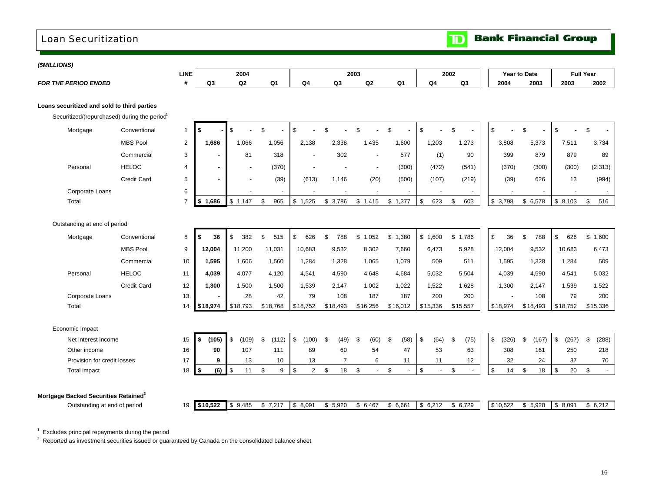## <span id="page-17-0"></span>Loan Securitization

**Bank Financial Group**  $\mathbf{D}$ 

| (\$MILLIONS)                                     |                              |                                             |                |                |                          |                |                        |                |                                |              |                |                                |                |                |             |                       |
|--------------------------------------------------|------------------------------|---------------------------------------------|----------------|----------------|--------------------------|----------------|------------------------|----------------|--------------------------------|--------------|----------------|--------------------------------|----------------|----------------|-------------|-----------------------|
|                                                  |                              |                                             | <b>LINE</b>    |                | 2004                     |                |                        |                | 2003                           |              |                | 2002                           |                | Year to Date   |             | <b>Full Year</b>      |
| <b>FOR THE PERIOD ENDED</b>                      |                              |                                             | #              | Q <sub>3</sub> | Q <sub>2</sub>           | Q <sub>1</sub> | Q <sub>4</sub>         | Q <sub>3</sub> | Q2                             | Q1           | Q <sub>4</sub> | Q3                             | 2004           | 2003           | 2003        | 2002                  |
|                                                  |                              |                                             |                |                |                          |                |                        |                |                                |              |                |                                |                |                |             |                       |
| Loans securitized and sold to third parties      |                              |                                             |                |                |                          |                |                        |                |                                |              |                |                                |                |                |             |                       |
|                                                  |                              | Securitized/(repurchased) during the period |                |                |                          |                |                        |                |                                |              |                |                                |                |                |             |                       |
| Mortgage                                         |                              | Conventional                                | $\mathbf{1}$   | \$             | \$.                      | \$             | \$                     | $\mathfrak{L}$ | \$                             | \$           | \$             | \$                             | $$\mathbb{S}$$ | $\mathfrak{S}$ | \$          | \$                    |
|                                                  |                              | <b>MBS Pool</b>                             | $\overline{2}$ | 1.686          | 1.066                    | 1,056          | 2.138                  | 2.338          | 1,435                          | 1,600        | 1,203          | 1,273                          | 3.808          | 5,373          | 7,511       | 3,734                 |
|                                                  |                              | Commercial                                  | $\mathsf 3$    |                | 81                       | 318            |                        | 302            |                                | 577          | (1)            | 90                             | 399            | 879            | 879         | 89                    |
| Personal                                         |                              | <b>HELOC</b>                                | 4              |                | $\overline{\phantom{a}}$ | (370)          | $\overline{a}$         |                | $\blacksquare$                 | (300)        | (472)          | (541)                          | (370)          | (300)          | (300)       | (2,313)               |
|                                                  |                              | <b>Credit Card</b>                          | 5              |                |                          | (39)           | (613)                  | 1,146          | (20)                           | (500)        | (107)          | (219)                          | (39)           | 626            | 13          | (994)                 |
|                                                  | Corporate Loans              |                                             | 6              |                |                          |                |                        |                |                                |              |                |                                |                |                |             |                       |
| Total                                            |                              |                                             | $\overline{7}$ | \$1,686        | \$1,147                  | \$<br>965      | \$1,525                | \$3,786        | \$1,415                        | \$1,377      | \$<br>623      | \$<br>603                      | \$3,798        | \$6,578        | \$8,103     | $$\mathbb{S}$$<br>516 |
|                                                  |                              |                                             |                |                |                          |                |                        |                |                                |              |                |                                |                |                |             |                       |
|                                                  | Outstanding at end of period |                                             |                |                |                          |                |                        |                |                                |              |                |                                |                |                |             |                       |
| Mortgage                                         |                              | Conventional                                | 8              | 36<br>\$       | $\mathfrak{S}$<br>382    | \$<br>515      | \$<br>626              | \$<br>788      | \$1,052                        | \$1,380      | \$1,600        | \$1,786                        | \$<br>36       | \$<br>788      | \$<br>626   | \$<br>1,600           |
|                                                  |                              | <b>MBS Pool</b>                             | 9              | 12,004         | 11,200                   | 11,031         | 10,683                 | 9,532          | 8,302                          | 7,660        | 6,473          | 5,928                          | 12,004         | 9,532          | 10,683      | 6,473                 |
|                                                  |                              | Commercial                                  | 10             | 1,595          | 1,606                    | 1,560          | 1.284                  | 1.328          | 1,065                          | 1,079        | 509            | 511                            | 1,595          | 1,328          | 1,284       | 509                   |
| Personal                                         |                              | <b>HELOC</b>                                | 11             | 4.039          | 4,077                    | 4,120          | 4.541                  | 4.590          | 4.648                          | 4.684        | 5.032          | 5,504                          | 4,039          | 4,590          | 4,541       | 5,032                 |
|                                                  |                              | <b>Credit Card</b>                          | 12             | 1,300          | 1,500                    | 1,500          | 1,539                  | 2,147          | 1,002                          | 1,022        | 1,522          | 1,628                          | 1,300          | 2,147          | 1,539       | 1,522                 |
|                                                  | Corporate Loans              |                                             | 13             |                | 28                       | 42             | 79                     | 108            | 187                            | 187          | 200            | 200                            |                | 108            | 79          | 200                   |
| Total                                            |                              |                                             | 14             | \$18,974       | \$18,793                 | \$18,768       | \$18,752               | \$18,493       | \$16,256                       | \$16,012     | \$15,336       | \$15,557                       | \$18,974       | \$18,493       | \$18,752    | \$15,336              |
|                                                  |                              |                                             |                |                |                          |                |                        |                |                                |              |                |                                |                |                |             |                       |
| Economic Impact                                  |                              |                                             |                |                |                          |                |                        |                |                                |              |                |                                |                |                |             |                       |
|                                                  | Net interest income          |                                             | 15             | (105)<br>\$    | $\mathfrak s$<br>(109)   | \$<br>(112)    | \$<br>(100)            | - \$<br>(49)   | \$<br>(60)                     | \$<br>(58)   | \$<br>(64)     | \$<br>(75)                     | \$<br>(326)    | \$<br>(167)    | \$<br>(267) | \$<br>(288)           |
|                                                  | Other income                 |                                             | 16             | 90             | 107                      | 111            | 89                     | 60             | 54                             | 47           | 53             | 63                             | 308            | 161            | 250         | 218                   |
|                                                  | Provision for credit losses  |                                             | 17             | 9              | 13                       | 10             | 13                     | $\overline{7}$ | 6                              | 11           | 11             | 12                             | 32             | 24             | 37          | 70                    |
|                                                  | Total impact                 |                                             | 18             | (6)<br>\$      | $\sqrt{3}$<br>11         | \$<br>9        | $\,$<br>$\overline{2}$ | \$<br>18       | \$<br>$\overline{\phantom{a}}$ | \$<br>$\sim$ | \$<br>$\sim$   | \$<br>$\overline{\phantom{a}}$ | \$<br>14       | \$<br>18       | \$<br>20    | \$<br>$\overline{a}$  |
|                                                  |                              |                                             |                |                |                          |                |                        |                |                                |              |                |                                |                |                |             |                       |
| Mortgage Backed Securities Retained <sup>2</sup> |                              |                                             |                |                |                          |                |                        |                |                                |              |                |                                |                |                |             |                       |
|                                                  | Outstanding at end of period |                                             | 19             | \$10,522       | \$9,485                  | \$7,217        | \$8,091                | \$5,920        | \$6,467                        | \$6,661      | \$6,212        | \$6,729                        | \$10,522       | \$5,920        | \$8,091     | \$6,212               |

 $1$  Excludes principal repayments during the period

 $^2$  Reported as investment securities issued or guaranteed by Canada on the consolidated balance sheet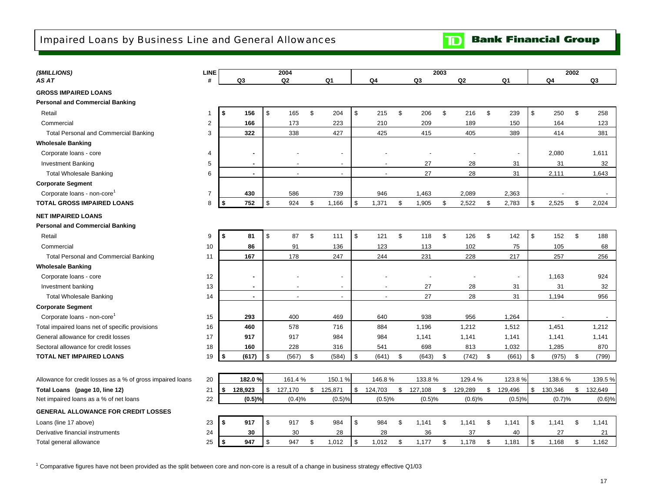## <span id="page-18-0"></span>Impaired Loans by Business Line and General Allowances

**Bank Financial Group**  $\mathbf{D}$ 

| (\$MILLIONS)                                               | <b>LINE</b>             |                          | 2004           |                          |                |               | 2003           |         |               |               | 2002 |         |
|------------------------------------------------------------|-------------------------|--------------------------|----------------|--------------------------|----------------|---------------|----------------|---------|---------------|---------------|------|---------|
| AS AT                                                      | #                       | Q3                       | Q <sub>2</sub> | Q1                       | Q4             | Q3            |                | Q2      | Q1            | Q4            |      | Q3      |
| <b>GROSS IMPAIRED LOANS</b>                                |                         |                          |                |                          |                |               |                |         |               |               |      |         |
| <b>Personal and Commercial Banking</b>                     |                         |                          |                |                          |                |               |                |         |               |               |      |         |
| Retail                                                     | 1                       | \$<br>156                | \$<br>165      | \$<br>204                | \$<br>215      | \$<br>206     | \$             | 216     | \$<br>239     | \$<br>250     | \$   | 258     |
| Commercial                                                 | $\overline{\mathbf{c}}$ | 166                      | 173            | 223                      | 210            | 209           |                | 189     | 150           | 164           |      | 123     |
| <b>Total Personal and Commercial Banking</b>               | 3                       | 322                      | 338            | 427                      | 425            | 415           |                | 405     | 389           | 414           |      | 381     |
| <b>Wholesale Banking</b>                                   |                         |                          |                |                          |                |               |                |         |               |               |      |         |
| Corporate loans - core                                     | 4                       |                          |                |                          |                |               |                |         |               | 2,080         |      | 1,611   |
| <b>Investment Banking</b>                                  | 5                       | $\overline{\phantom{a}}$ |                | $\overline{\phantom{a}}$ |                | 27            |                | 28      | 31            | 31            |      | 32      |
| <b>Total Wholesale Banking</b>                             | 6                       | $\sim$                   |                | $\overline{a}$           |                | 27            |                | 28      | 31            | 2,111         |      | 1,643   |
| <b>Corporate Segment</b>                                   |                         |                          |                |                          |                |               |                |         |               |               |      |         |
| Corporate loans - non-core <sup>1</sup>                    | $\overline{7}$          | 430                      | 586            | 739                      | 946            | 1,463         |                | 2,089   | 2,363         |               |      |         |
| <b>TOTAL GROSS IMPAIRED LOANS</b>                          | 8                       | 752<br>\$                | \$<br>924      | \$<br>1,166              | \$<br>1,371    | \$<br>1,905   | $\mathfrak{S}$ | 2,522   | \$<br>2,783   | \$<br>2,525   | \$   | 2,024   |
| <b>NET IMPAIRED LOANS</b>                                  |                         |                          |                |                          |                |               |                |         |               |               |      |         |
| <b>Personal and Commercial Banking</b>                     |                         |                          |                |                          |                |               |                |         |               |               |      |         |
| Retail                                                     | 9                       | Ŝ.<br>81                 | \$<br>87       | \$<br>111                | \$<br>121      | \$<br>118     | \$             | 126     | \$<br>142     | \$<br>152     | \$   | 188     |
| Commercial                                                 | 10                      | 86                       | 91             | 136                      | 123            | 113           |                | 102     | 75            | 105           |      | 68      |
| <b>Total Personal and Commercial Banking</b>               | 11                      | 167                      | 178            | 247                      | 244            | 231           |                | 228     | 217           | 257           |      | 256     |
| <b>Wholesale Banking</b>                                   |                         |                          |                |                          |                |               |                |         |               |               |      |         |
| Corporate loans - core                                     | 12                      | ٠                        |                |                          |                |               |                |         |               | 1,163         |      | 924     |
| Investment banking                                         | 13                      | $\blacksquare$           |                | $\overline{a}$           |                | 27            |                | 28      | 31            | 31            |      | 32      |
| <b>Total Wholesale Banking</b>                             | 14                      | $\mathbf{r}$             |                | $\overline{\phantom{a}}$ | $\blacksquare$ | 27            |                | 28      | 31            | 1,194         |      | 956     |
| <b>Corporate Segment</b>                                   |                         |                          |                |                          |                |               |                |         |               |               |      |         |
| Corporate loans - non-core                                 | 15                      | 293                      | 400            | 469                      | 640            | 938           |                | 956     | 1,264         |               |      |         |
| Total impaired loans net of specific provisions            | 16                      | 460                      | 578            | 716                      | 884            | 1,196         |                | 1,212   | 1,512         | 1,451         |      | 1,212   |
| General allowance for credit losses                        | 17                      | 917                      | 917            | 984                      | 984            | 1,141         |                | 1,141   | 1,141         | 1,141         |      | 1,141   |
| Sectoral allowance for credit losses                       | 18                      | 160                      | 228            | 316                      | 541            | 698           |                | 813     | 1,032         | 1,285         |      | 870     |
| <b>TOTAL NET IMPAIRED LOANS</b>                            | 19                      | (617)<br>l \$            | \$<br>(567)    | \$<br>(584)              | \$<br>(641)    | \$<br>(643)   | \$             | (742)   | \$<br>(661)   | \$<br>(975)   | \$   | (799)   |
|                                                            |                         |                          |                |                          |                |               |                |         |               |               |      |         |
| Allowance for credit losses as a % of gross impaired loans | 20                      | 182.0%                   | 161.4%         | 150.1%                   | 146.8%         | 133.8%        |                | 129.4%  | 123.8%        | 138.6%        |      | 139.5%  |
| Total Loans (page 10, line 12)                             | 21                      | s.<br>128,923            | \$<br>127,170  | \$<br>125,871            | \$<br>124,703  | \$<br>127,108 | \$             | 129,289 | \$<br>129,496 | \$<br>130,346 | \$   | 132,649 |
| Net impaired loans as a % of net loans                     | 22                      | (0.5)%                   | (0.4)%         | (0.5)%                   | (0.5)%         | (0.5)%        |                | (0.6)%  | (0.5)%        | (0.7)%        |      | (0.6)%  |
| <b>GENERAL ALLOWANCE FOR CREDIT LOSSES</b>                 |                         |                          |                |                          |                |               |                |         |               |               |      |         |
| Loans (line 17 above)                                      | 23                      | \$<br>917                | \$<br>917      | \$<br>984                | \$<br>984      | \$<br>1,141   | \$             | 1,141   | \$<br>1,141   | \$<br>1,141   | \$   | 1,141   |
| Derivative financial instruments                           | 24                      | 30                       | 30             | 28                       | 28             | 36            |                | 37      | 40            | 27            |      | 21      |
| Total general allowance                                    | 25                      | \$<br>947                | \$<br>947      | \$<br>1,012              | \$<br>1,012    | \$<br>1,177   | \$             | 1,178   | \$<br>1,181   | \$<br>1,168   | \$   | 1,162   |

 $1$  Comparative figures have not been provided as the split between core and non-core is a result of a change in business strategy effective Q1/03